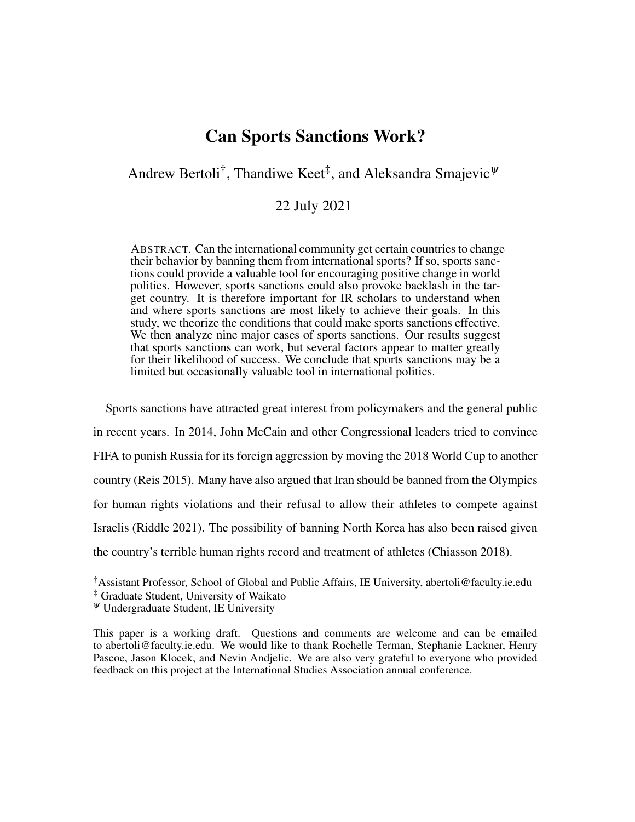# Can Sports Sanctions Work?

# Andrew Bertoli<sup>†</sup>, Thandiwe Keet<sup>‡</sup>, and Aleksandra Smajevic<sup> $\psi$ </sup>

# 22 July 2021

ABSTRACT. Can the international community get certain countries to change their behavior by banning them from international sports? If so, sports sanctions could provide a valuable tool for encouraging positive change in world politics. However, sports sanctions could also provoke backlash in the target country. It is therefore important for IR scholars to understand when and where sports sanctions are most likely to achieve their goals. In this study, we theorize the conditions that could make sports sanctions effective. We then analyze nine major cases of sports sanctions. Our results suggest that sports sanctions can work, but several factors appear to matter greatly for their likelihood of success. We conclude that sports sanctions may be a limited but occasionally valuable tool in international politics.

Sports sanctions have attracted great interest from policymakers and the general public in recent years. In 2014, John McCain and other Congressional leaders tried to convince FIFA to punish Russia for its foreign aggression by moving the 2018 World Cup to another country (Reis 2015). Many have also argued that Iran should be banned from the Olympics for human rights violations and their refusal to allow their athletes to compete against Israelis (Riddle 2021). The possibility of banning North Korea has also been raised given the country's terrible human rights record and treatment of athletes (Chiasson 2018).

<sup>†</sup>Assistant Professor, School of Global and Public Affairs, IE University, abertoli@faculty.ie.edu

<sup>‡</sup> Graduate Student, University of Waikato

 $\Psi$  Undergraduate Student, IE University

This paper is a working draft. Questions and comments are welcome and can be emailed to abertoli@faculty.ie.edu. We would like to thank Rochelle Terman, Stephanie Lackner, Henry Pascoe, Jason Klocek, and Nevin Andjelic. We are also very grateful to everyone who provided feedback on this project at the International Studies Association annual conference.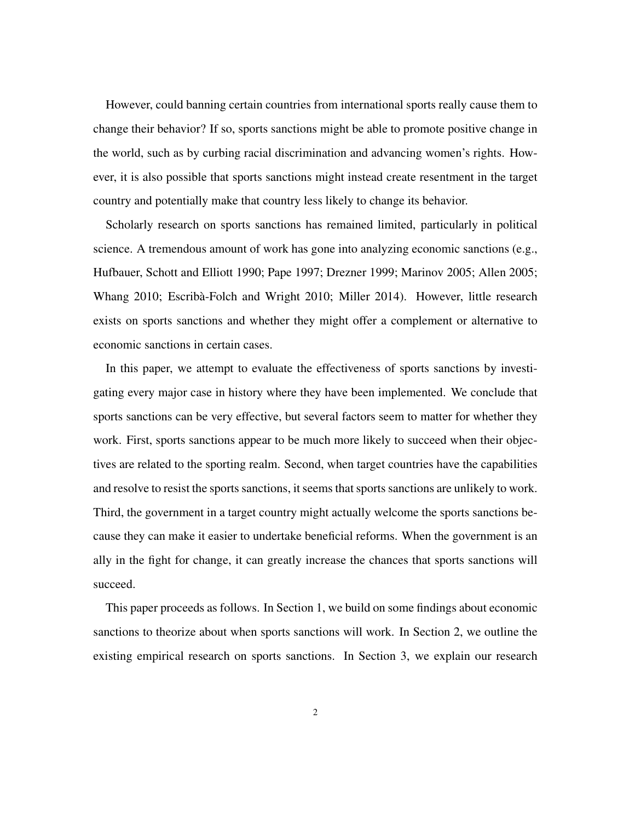However, could banning certain countries from international sports really cause them to change their behavior? If so, sports sanctions might be able to promote positive change in the world, such as by curbing racial discrimination and advancing women's rights. However, it is also possible that sports sanctions might instead create resentment in the target country and potentially make that country less likely to change its behavior.

Scholarly research on sports sanctions has remained limited, particularly in political science. A tremendous amount of work has gone into analyzing economic sanctions (e.g., Hufbauer, Schott and Elliott 1990; Pape 1997; Drezner 1999; Marinov 2005; Allen 2005; Whang 2010; Escribà-Folch and Wright 2010; Miller 2014). However, little research exists on sports sanctions and whether they might offer a complement or alternative to economic sanctions in certain cases.

In this paper, we attempt to evaluate the effectiveness of sports sanctions by investigating every major case in history where they have been implemented. We conclude that sports sanctions can be very effective, but several factors seem to matter for whether they work. First, sports sanctions appear to be much more likely to succeed when their objectives are related to the sporting realm. Second, when target countries have the capabilities and resolve to resist the sports sanctions, it seems that sports sanctions are unlikely to work. Third, the government in a target country might actually welcome the sports sanctions because they can make it easier to undertake beneficial reforms. When the government is an ally in the fight for change, it can greatly increase the chances that sports sanctions will succeed.

This paper proceeds as follows. In Section 1, we build on some findings about economic sanctions to theorize about when sports sanctions will work. In Section 2, we outline the existing empirical research on sports sanctions. In Section 3, we explain our research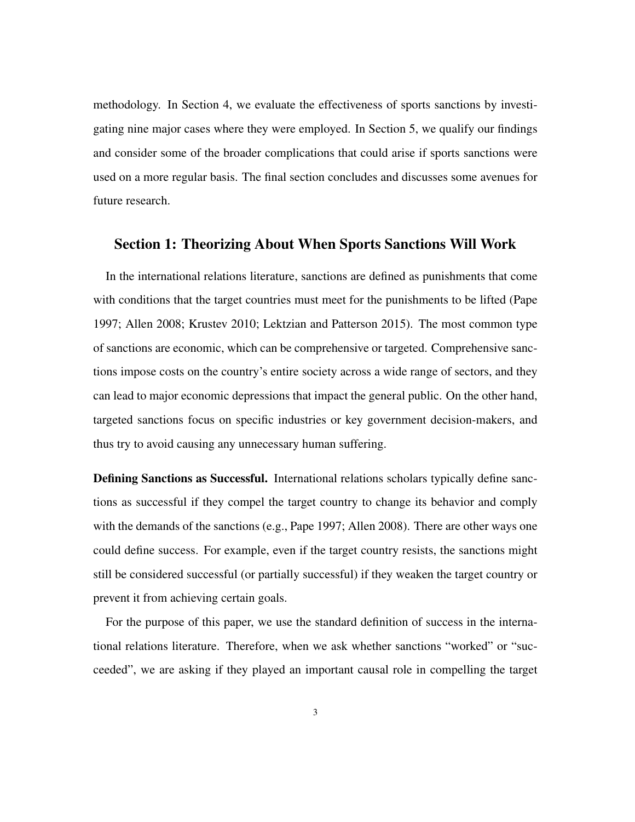methodology. In Section 4, we evaluate the effectiveness of sports sanctions by investigating nine major cases where they were employed. In Section 5, we qualify our findings and consider some of the broader complications that could arise if sports sanctions were used on a more regular basis. The final section concludes and discusses some avenues for future research.

### Section 1: Theorizing About When Sports Sanctions Will Work

In the international relations literature, sanctions are defined as punishments that come with conditions that the target countries must meet for the punishments to be lifted (Pape 1997; Allen 2008; Krustev 2010; Lektzian and Patterson 2015). The most common type of sanctions are economic, which can be comprehensive or targeted. Comprehensive sanctions impose costs on the country's entire society across a wide range of sectors, and they can lead to major economic depressions that impact the general public. On the other hand, targeted sanctions focus on specific industries or key government decision-makers, and thus try to avoid causing any unnecessary human suffering.

Defining Sanctions as Successful. International relations scholars typically define sanctions as successful if they compel the target country to change its behavior and comply with the demands of the sanctions (e.g., Pape 1997; Allen 2008). There are other ways one could define success. For example, even if the target country resists, the sanctions might still be considered successful (or partially successful) if they weaken the target country or prevent it from achieving certain goals.

For the purpose of this paper, we use the standard definition of success in the international relations literature. Therefore, when we ask whether sanctions "worked" or "succeeded", we are asking if they played an important causal role in compelling the target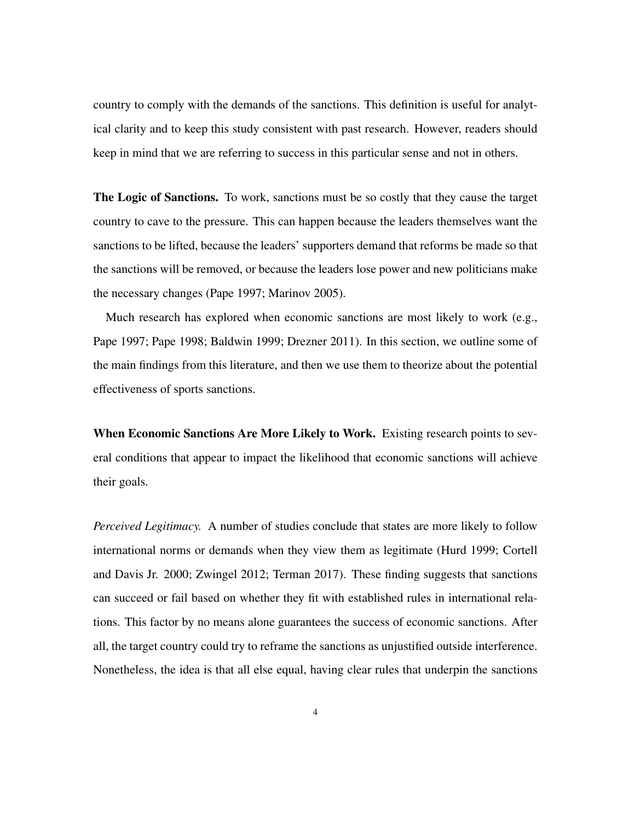country to comply with the demands of the sanctions. This definition is useful for analytical clarity and to keep this study consistent with past research. However, readers should keep in mind that we are referring to success in this particular sense and not in others.

The Logic of Sanctions. To work, sanctions must be so costly that they cause the target country to cave to the pressure. This can happen because the leaders themselves want the sanctions to be lifted, because the leaders' supporters demand that reforms be made so that the sanctions will be removed, or because the leaders lose power and new politicians make the necessary changes (Pape 1997; Marinov 2005).

Much research has explored when economic sanctions are most likely to work (e.g., Pape 1997; Pape 1998; Baldwin 1999; Drezner 2011). In this section, we outline some of the main findings from this literature, and then we use them to theorize about the potential effectiveness of sports sanctions.

When Economic Sanctions Are More Likely to Work. Existing research points to several conditions that appear to impact the likelihood that economic sanctions will achieve their goals.

*Perceived Legitimacy.* A number of studies conclude that states are more likely to follow international norms or demands when they view them as legitimate (Hurd 1999; Cortell and Davis Jr. 2000; Zwingel 2012; Terman 2017). These finding suggests that sanctions can succeed or fail based on whether they fit with established rules in international relations. This factor by no means alone guarantees the success of economic sanctions. After all, the target country could try to reframe the sanctions as unjustified outside interference. Nonetheless, the idea is that all else equal, having clear rules that underpin the sanctions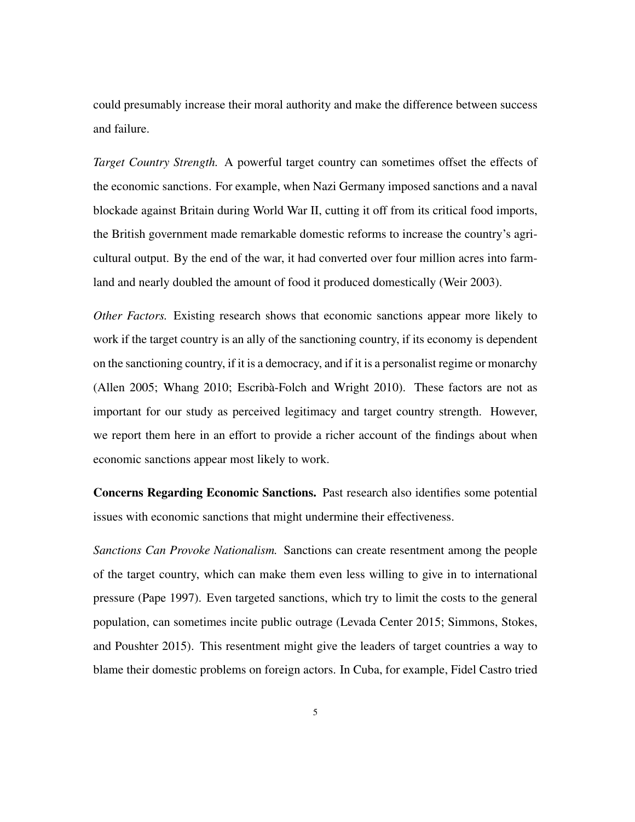could presumably increase their moral authority and make the difference between success and failure.

*Target Country Strength.* A powerful target country can sometimes offset the effects of the economic sanctions. For example, when Nazi Germany imposed sanctions and a naval blockade against Britain during World War II, cutting it off from its critical food imports, the British government made remarkable domestic reforms to increase the country's agricultural output. By the end of the war, it had converted over four million acres into farmland and nearly doubled the amount of food it produced domestically (Weir 2003).

*Other Factors.* Existing research shows that economic sanctions appear more likely to work if the target country is an ally of the sanctioning country, if its economy is dependent on the sanctioning country, if it is a democracy, and if it is a personalist regime or monarchy (Allen 2005; Whang 2010; Escribà-Folch and Wright 2010). These factors are not as important for our study as perceived legitimacy and target country strength. However, we report them here in an effort to provide a richer account of the findings about when economic sanctions appear most likely to work.

Concerns Regarding Economic Sanctions. Past research also identifies some potential issues with economic sanctions that might undermine their effectiveness.

*Sanctions Can Provoke Nationalism.* Sanctions can create resentment among the people of the target country, which can make them even less willing to give in to international pressure (Pape 1997). Even targeted sanctions, which try to limit the costs to the general population, can sometimes incite public outrage (Levada Center 2015; Simmons, Stokes, and Poushter 2015). This resentment might give the leaders of target countries a way to blame their domestic problems on foreign actors. In Cuba, for example, Fidel Castro tried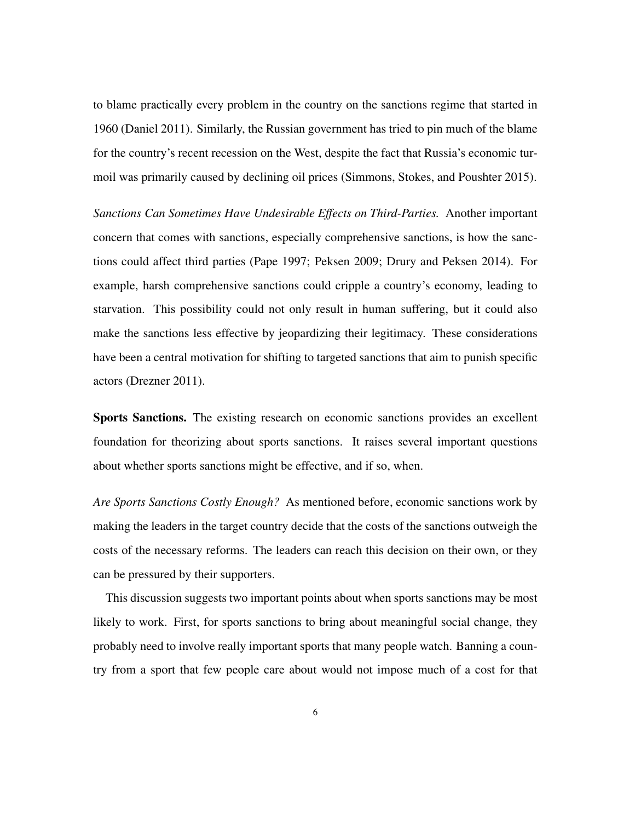to blame practically every problem in the country on the sanctions regime that started in 1960 (Daniel 2011). Similarly, the Russian government has tried to pin much of the blame for the country's recent recession on the West, despite the fact that Russia's economic turmoil was primarily caused by declining oil prices (Simmons, Stokes, and Poushter 2015).

*Sanctions Can Sometimes Have Undesirable Effects on Third-Parties.* Another important concern that comes with sanctions, especially comprehensive sanctions, is how the sanctions could affect third parties (Pape 1997; Peksen 2009; Drury and Peksen 2014). For example, harsh comprehensive sanctions could cripple a country's economy, leading to starvation. This possibility could not only result in human suffering, but it could also make the sanctions less effective by jeopardizing their legitimacy. These considerations have been a central motivation for shifting to targeted sanctions that aim to punish specific actors (Drezner 2011).

Sports Sanctions. The existing research on economic sanctions provides an excellent foundation for theorizing about sports sanctions. It raises several important questions about whether sports sanctions might be effective, and if so, when.

*Are Sports Sanctions Costly Enough?* As mentioned before, economic sanctions work by making the leaders in the target country decide that the costs of the sanctions outweigh the costs of the necessary reforms. The leaders can reach this decision on their own, or they can be pressured by their supporters.

This discussion suggests two important points about when sports sanctions may be most likely to work. First, for sports sanctions to bring about meaningful social change, they probably need to involve really important sports that many people watch. Banning a country from a sport that few people care about would not impose much of a cost for that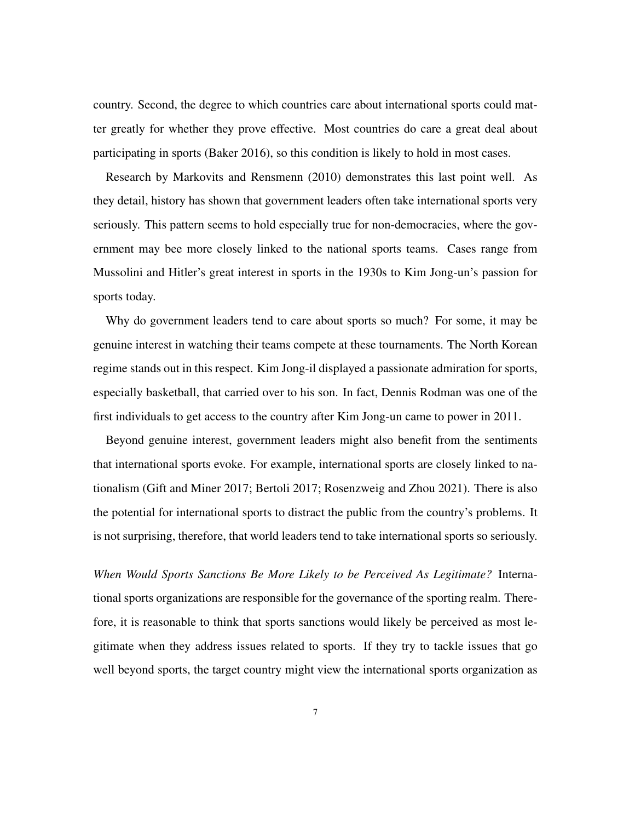country. Second, the degree to which countries care about international sports could matter greatly for whether they prove effective. Most countries do care a great deal about participating in sports (Baker 2016), so this condition is likely to hold in most cases.

Research by Markovits and Rensmenn (2010) demonstrates this last point well. As they detail, history has shown that government leaders often take international sports very seriously. This pattern seems to hold especially true for non-democracies, where the government may bee more closely linked to the national sports teams. Cases range from Mussolini and Hitler's great interest in sports in the 1930s to Kim Jong-un's passion for sports today.

Why do government leaders tend to care about sports so much? For some, it may be genuine interest in watching their teams compete at these tournaments. The North Korean regime stands out in this respect. Kim Jong-il displayed a passionate admiration for sports, especially basketball, that carried over to his son. In fact, Dennis Rodman was one of the first individuals to get access to the country after Kim Jong-un came to power in 2011.

Beyond genuine interest, government leaders might also benefit from the sentiments that international sports evoke. For example, international sports are closely linked to nationalism (Gift and Miner 2017; Bertoli 2017; Rosenzweig and Zhou 2021). There is also the potential for international sports to distract the public from the country's problems. It is not surprising, therefore, that world leaders tend to take international sports so seriously.

*When Would Sports Sanctions Be More Likely to be Perceived As Legitimate?* International sports organizations are responsible for the governance of the sporting realm. Therefore, it is reasonable to think that sports sanctions would likely be perceived as most legitimate when they address issues related to sports. If they try to tackle issues that go well beyond sports, the target country might view the international sports organization as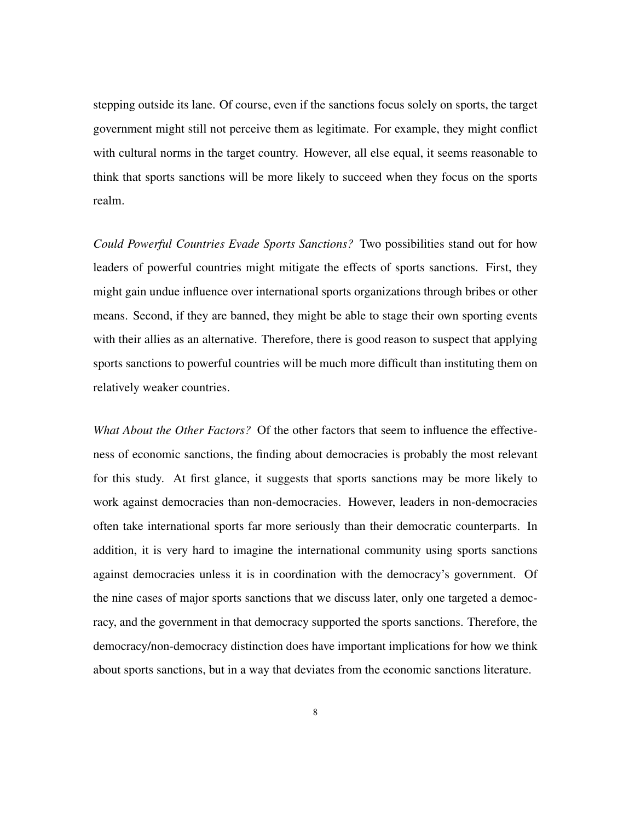stepping outside its lane. Of course, even if the sanctions focus solely on sports, the target government might still not perceive them as legitimate. For example, they might conflict with cultural norms in the target country. However, all else equal, it seems reasonable to think that sports sanctions will be more likely to succeed when they focus on the sports realm.

*Could Powerful Countries Evade Sports Sanctions?* Two possibilities stand out for how leaders of powerful countries might mitigate the effects of sports sanctions. First, they might gain undue influence over international sports organizations through bribes or other means. Second, if they are banned, they might be able to stage their own sporting events with their allies as an alternative. Therefore, there is good reason to suspect that applying sports sanctions to powerful countries will be much more difficult than instituting them on relatively weaker countries.

*What About the Other Factors?* Of the other factors that seem to influence the effectiveness of economic sanctions, the finding about democracies is probably the most relevant for this study. At first glance, it suggests that sports sanctions may be more likely to work against democracies than non-democracies. However, leaders in non-democracies often take international sports far more seriously than their democratic counterparts. In addition, it is very hard to imagine the international community using sports sanctions against democracies unless it is in coordination with the democracy's government. Of the nine cases of major sports sanctions that we discuss later, only one targeted a democracy, and the government in that democracy supported the sports sanctions. Therefore, the democracy/non-democracy distinction does have important implications for how we think about sports sanctions, but in a way that deviates from the economic sanctions literature.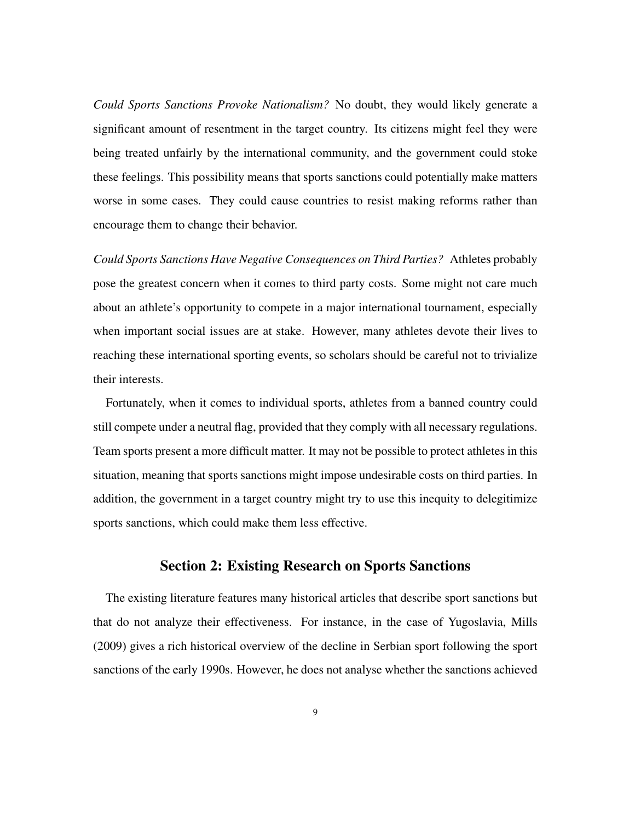*Could Sports Sanctions Provoke Nationalism?* No doubt, they would likely generate a significant amount of resentment in the target country. Its citizens might feel they were being treated unfairly by the international community, and the government could stoke these feelings. This possibility means that sports sanctions could potentially make matters worse in some cases. They could cause countries to resist making reforms rather than encourage them to change their behavior.

*Could Sports Sanctions Have Negative Consequences on Third Parties?* Athletes probably pose the greatest concern when it comes to third party costs. Some might not care much about an athlete's opportunity to compete in a major international tournament, especially when important social issues are at stake. However, many athletes devote their lives to reaching these international sporting events, so scholars should be careful not to trivialize their interests.

Fortunately, when it comes to individual sports, athletes from a banned country could still compete under a neutral flag, provided that they comply with all necessary regulations. Team sports present a more difficult matter. It may not be possible to protect athletes in this situation, meaning that sports sanctions might impose undesirable costs on third parties. In addition, the government in a target country might try to use this inequity to delegitimize sports sanctions, which could make them less effective.

# Section 2: Existing Research on Sports Sanctions

The existing literature features many historical articles that describe sport sanctions but that do not analyze their effectiveness. For instance, in the case of Yugoslavia, Mills (2009) gives a rich historical overview of the decline in Serbian sport following the sport sanctions of the early 1990s. However, he does not analyse whether the sanctions achieved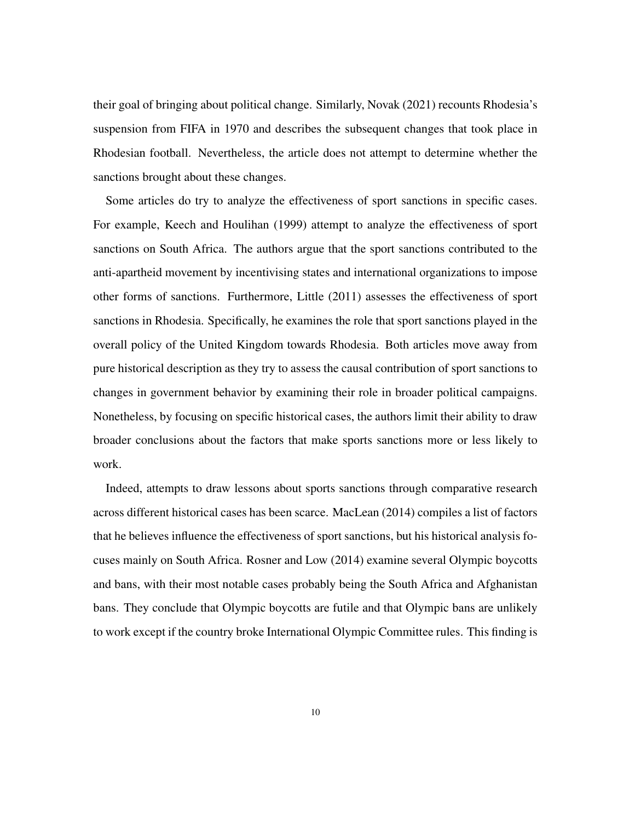their goal of bringing about political change. Similarly, Novak (2021) recounts Rhodesia's suspension from FIFA in 1970 and describes the subsequent changes that took place in Rhodesian football. Nevertheless, the article does not attempt to determine whether the sanctions brought about these changes.

Some articles do try to analyze the effectiveness of sport sanctions in specific cases. For example, Keech and Houlihan (1999) attempt to analyze the effectiveness of sport sanctions on South Africa. The authors argue that the sport sanctions contributed to the anti-apartheid movement by incentivising states and international organizations to impose other forms of sanctions. Furthermore, Little (2011) assesses the effectiveness of sport sanctions in Rhodesia. Specifically, he examines the role that sport sanctions played in the overall policy of the United Kingdom towards Rhodesia. Both articles move away from pure historical description as they try to assess the causal contribution of sport sanctions to changes in government behavior by examining their role in broader political campaigns. Nonetheless, by focusing on specific historical cases, the authors limit their ability to draw broader conclusions about the factors that make sports sanctions more or less likely to work.

Indeed, attempts to draw lessons about sports sanctions through comparative research across different historical cases has been scarce. MacLean (2014) compiles a list of factors that he believes influence the effectiveness of sport sanctions, but his historical analysis focuses mainly on South Africa. Rosner and Low (2014) examine several Olympic boycotts and bans, with their most notable cases probably being the South Africa and Afghanistan bans. They conclude that Olympic boycotts are futile and that Olympic bans are unlikely to work except if the country broke International Olympic Committee rules. This finding is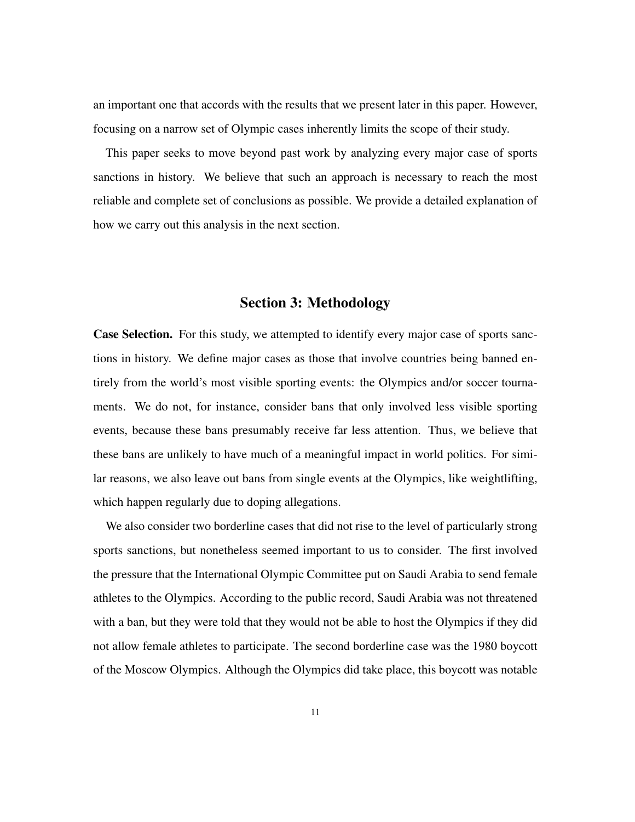an important one that accords with the results that we present later in this paper. However, focusing on a narrow set of Olympic cases inherently limits the scope of their study.

This paper seeks to move beyond past work by analyzing every major case of sports sanctions in history. We believe that such an approach is necessary to reach the most reliable and complete set of conclusions as possible. We provide a detailed explanation of how we carry out this analysis in the next section.

#### Section 3: Methodology

Case Selection. For this study, we attempted to identify every major case of sports sanctions in history. We define major cases as those that involve countries being banned entirely from the world's most visible sporting events: the Olympics and/or soccer tournaments. We do not, for instance, consider bans that only involved less visible sporting events, because these bans presumably receive far less attention. Thus, we believe that these bans are unlikely to have much of a meaningful impact in world politics. For similar reasons, we also leave out bans from single events at the Olympics, like weightlifting, which happen regularly due to doping allegations.

We also consider two borderline cases that did not rise to the level of particularly strong sports sanctions, but nonetheless seemed important to us to consider. The first involved the pressure that the International Olympic Committee put on Saudi Arabia to send female athletes to the Olympics. According to the public record, Saudi Arabia was not threatened with a ban, but they were told that they would not be able to host the Olympics if they did not allow female athletes to participate. The second borderline case was the 1980 boycott of the Moscow Olympics. Although the Olympics did take place, this boycott was notable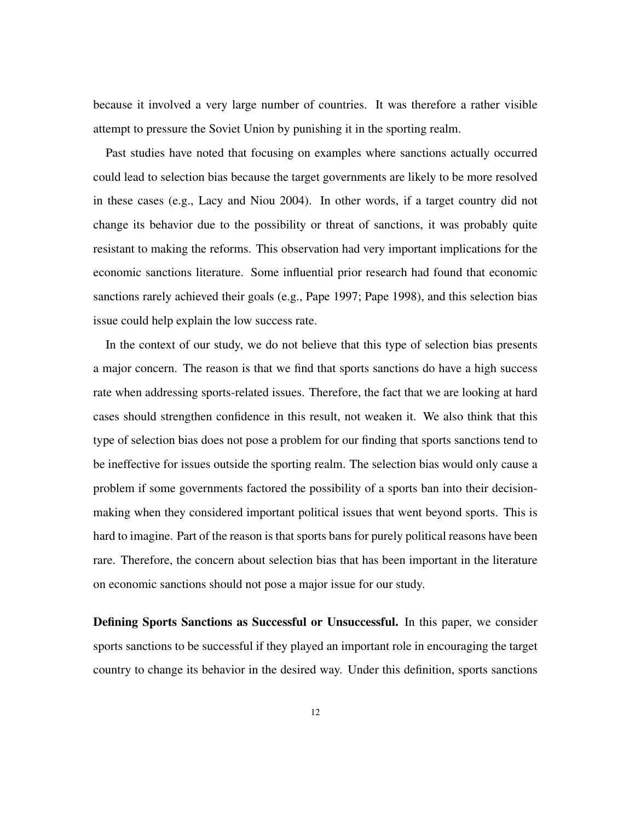because it involved a very large number of countries. It was therefore a rather visible attempt to pressure the Soviet Union by punishing it in the sporting realm.

Past studies have noted that focusing on examples where sanctions actually occurred could lead to selection bias because the target governments are likely to be more resolved in these cases (e.g., Lacy and Niou 2004). In other words, if a target country did not change its behavior due to the possibility or threat of sanctions, it was probably quite resistant to making the reforms. This observation had very important implications for the economic sanctions literature. Some influential prior research had found that economic sanctions rarely achieved their goals (e.g., Pape 1997; Pape 1998), and this selection bias issue could help explain the low success rate.

In the context of our study, we do not believe that this type of selection bias presents a major concern. The reason is that we find that sports sanctions do have a high success rate when addressing sports-related issues. Therefore, the fact that we are looking at hard cases should strengthen confidence in this result, not weaken it. We also think that this type of selection bias does not pose a problem for our finding that sports sanctions tend to be ineffective for issues outside the sporting realm. The selection bias would only cause a problem if some governments factored the possibility of a sports ban into their decisionmaking when they considered important political issues that went beyond sports. This is hard to imagine. Part of the reason is that sports bans for purely political reasons have been rare. Therefore, the concern about selection bias that has been important in the literature on economic sanctions should not pose a major issue for our study.

Defining Sports Sanctions as Successful or Unsuccessful. In this paper, we consider sports sanctions to be successful if they played an important role in encouraging the target country to change its behavior in the desired way. Under this definition, sports sanctions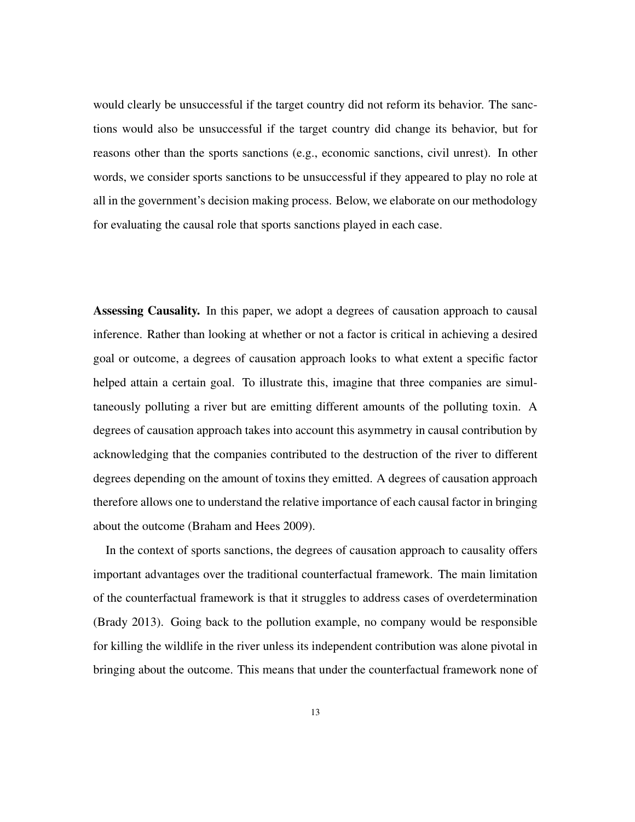would clearly be unsuccessful if the target country did not reform its behavior. The sanctions would also be unsuccessful if the target country did change its behavior, but for reasons other than the sports sanctions (e.g., economic sanctions, civil unrest). In other words, we consider sports sanctions to be unsuccessful if they appeared to play no role at all in the government's decision making process. Below, we elaborate on our methodology for evaluating the causal role that sports sanctions played in each case.

Assessing Causality. In this paper, we adopt a degrees of causation approach to causal inference. Rather than looking at whether or not a factor is critical in achieving a desired goal or outcome, a degrees of causation approach looks to what extent a specific factor helped attain a certain goal. To illustrate this, imagine that three companies are simultaneously polluting a river but are emitting different amounts of the polluting toxin. A degrees of causation approach takes into account this asymmetry in causal contribution by acknowledging that the companies contributed to the destruction of the river to different degrees depending on the amount of toxins they emitted. A degrees of causation approach therefore allows one to understand the relative importance of each causal factor in bringing about the outcome (Braham and Hees 2009).

In the context of sports sanctions, the degrees of causation approach to causality offers important advantages over the traditional counterfactual framework. The main limitation of the counterfactual framework is that it struggles to address cases of overdetermination (Brady 2013). Going back to the pollution example, no company would be responsible for killing the wildlife in the river unless its independent contribution was alone pivotal in bringing about the outcome. This means that under the counterfactual framework none of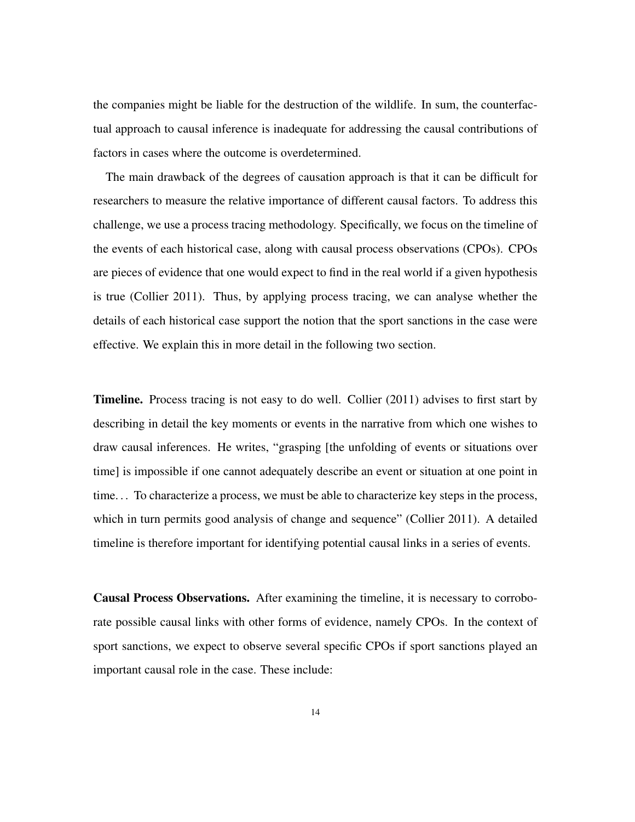the companies might be liable for the destruction of the wildlife. In sum, the counterfactual approach to causal inference is inadequate for addressing the causal contributions of factors in cases where the outcome is overdetermined.

The main drawback of the degrees of causation approach is that it can be difficult for researchers to measure the relative importance of different causal factors. To address this challenge, we use a process tracing methodology. Specifically, we focus on the timeline of the events of each historical case, along with causal process observations (CPOs). CPOs are pieces of evidence that one would expect to find in the real world if a given hypothesis is true (Collier 2011). Thus, by applying process tracing, we can analyse whether the details of each historical case support the notion that the sport sanctions in the case were effective. We explain this in more detail in the following two section.

Timeline. Process tracing is not easy to do well. Collier (2011) advises to first start by describing in detail the key moments or events in the narrative from which one wishes to draw causal inferences. He writes, "grasping [the unfolding of events or situations over time] is impossible if one cannot adequately describe an event or situation at one point in time. . . To characterize a process, we must be able to characterize key steps in the process, which in turn permits good analysis of change and sequence" (Collier 2011). A detailed timeline is therefore important for identifying potential causal links in a series of events.

Causal Process Observations. After examining the timeline, it is necessary to corroborate possible causal links with other forms of evidence, namely CPOs. In the context of sport sanctions, we expect to observe several specific CPOs if sport sanctions played an important causal role in the case. These include: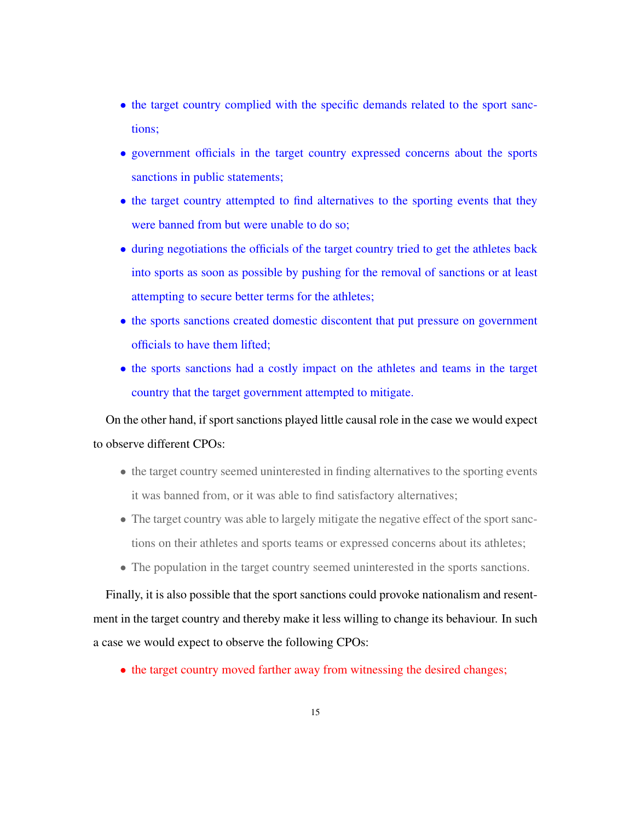- the target country complied with the specific demands related to the sport sanctions;
- government officials in the target country expressed concerns about the sports sanctions in public statements;
- the target country attempted to find alternatives to the sporting events that they were banned from but were unable to do so;
- during negotiations the officials of the target country tried to get the athletes back into sports as soon as possible by pushing for the removal of sanctions or at least attempting to secure better terms for the athletes;
- the sports sanctions created domestic discontent that put pressure on government officials to have them lifted;
- the sports sanctions had a costly impact on the athletes and teams in the target country that the target government attempted to mitigate.

On the other hand, if sport sanctions played little causal role in the case we would expect to observe different CPOs:

- the target country seemed uninterested in finding alternatives to the sporting events it was banned from, or it was able to find satisfactory alternatives;
- The target country was able to largely mitigate the negative effect of the sport sanctions on their athletes and sports teams or expressed concerns about its athletes;
- The population in the target country seemed uninterested in the sports sanctions.

Finally, it is also possible that the sport sanctions could provoke nationalism and resentment in the target country and thereby make it less willing to change its behaviour. In such a case we would expect to observe the following CPOs:

• the target country moved farther away from witnessing the desired changes;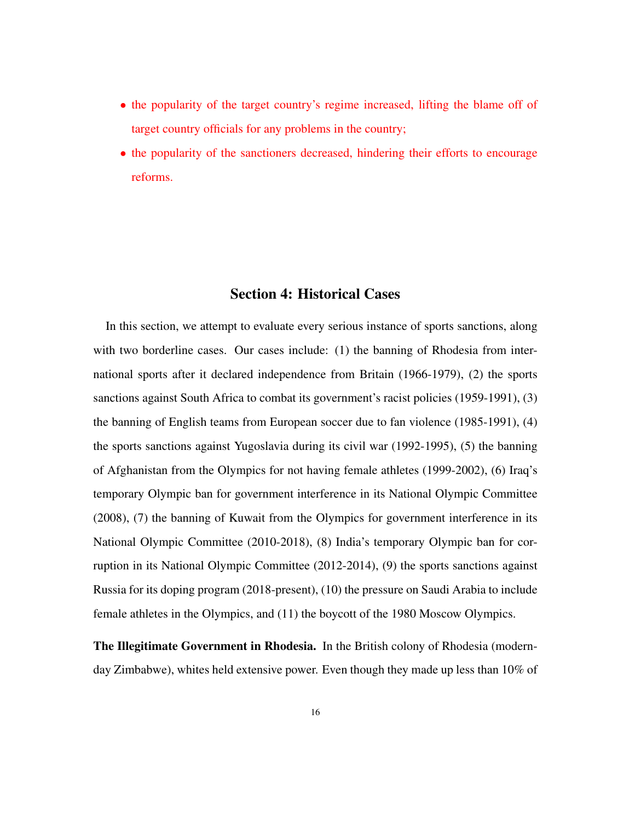- the popularity of the target country's regime increased, lifting the blame off of target country officials for any problems in the country;
- the popularity of the sanctioners decreased, hindering their efforts to encourage reforms.

#### Section 4: Historical Cases

In this section, we attempt to evaluate every serious instance of sports sanctions, along with two borderline cases. Our cases include: (1) the banning of Rhodesia from international sports after it declared independence from Britain (1966-1979), (2) the sports sanctions against South Africa to combat its government's racist policies (1959-1991), (3) the banning of English teams from European soccer due to fan violence (1985-1991), (4) the sports sanctions against Yugoslavia during its civil war (1992-1995), (5) the banning of Afghanistan from the Olympics for not having female athletes (1999-2002), (6) Iraq's temporary Olympic ban for government interference in its National Olympic Committee (2008), (7) the banning of Kuwait from the Olympics for government interference in its National Olympic Committee (2010-2018), (8) India's temporary Olympic ban for corruption in its National Olympic Committee (2012-2014), (9) the sports sanctions against Russia for its doping program (2018-present), (10) the pressure on Saudi Arabia to include female athletes in the Olympics, and (11) the boycott of the 1980 Moscow Olympics.

The Illegitimate Government in Rhodesia. In the British colony of Rhodesia (modernday Zimbabwe), whites held extensive power. Even though they made up less than 10% of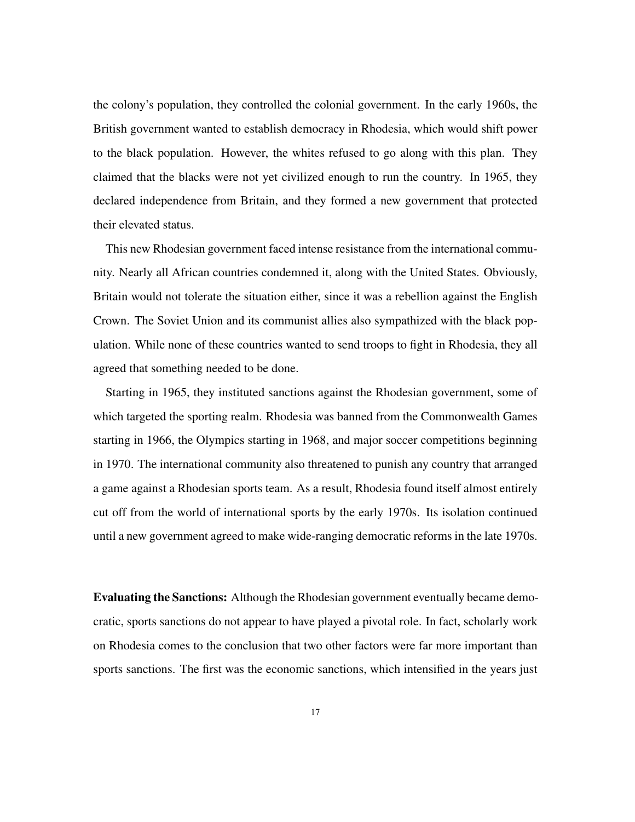the colony's population, they controlled the colonial government. In the early 1960s, the British government wanted to establish democracy in Rhodesia, which would shift power to the black population. However, the whites refused to go along with this plan. They claimed that the blacks were not yet civilized enough to run the country. In 1965, they declared independence from Britain, and they formed a new government that protected their elevated status.

This new Rhodesian government faced intense resistance from the international community. Nearly all African countries condemned it, along with the United States. Obviously, Britain would not tolerate the situation either, since it was a rebellion against the English Crown. The Soviet Union and its communist allies also sympathized with the black population. While none of these countries wanted to send troops to fight in Rhodesia, they all agreed that something needed to be done.

Starting in 1965, they instituted sanctions against the Rhodesian government, some of which targeted the sporting realm. Rhodesia was banned from the Commonwealth Games starting in 1966, the Olympics starting in 1968, and major soccer competitions beginning in 1970. The international community also threatened to punish any country that arranged a game against a Rhodesian sports team. As a result, Rhodesia found itself almost entirely cut off from the world of international sports by the early 1970s. Its isolation continued until a new government agreed to make wide-ranging democratic reforms in the late 1970s.

Evaluating the Sanctions: Although the Rhodesian government eventually became democratic, sports sanctions do not appear to have played a pivotal role. In fact, scholarly work on Rhodesia comes to the conclusion that two other factors were far more important than sports sanctions. The first was the economic sanctions, which intensified in the years just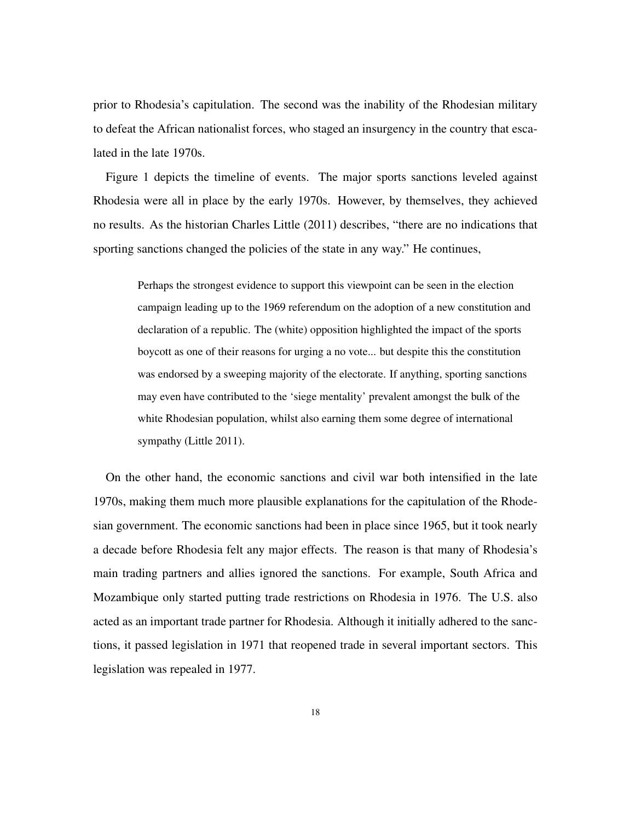prior to Rhodesia's capitulation. The second was the inability of the Rhodesian military to defeat the African nationalist forces, who staged an insurgency in the country that escalated in the late 1970s.

Figure 1 depicts the timeline of events. The major sports sanctions leveled against Rhodesia were all in place by the early 1970s. However, by themselves, they achieved no results. As the historian Charles Little (2011) describes, "there are no indications that sporting sanctions changed the policies of the state in any way." He continues,

Perhaps the strongest evidence to support this viewpoint can be seen in the election campaign leading up to the 1969 referendum on the adoption of a new constitution and declaration of a republic. The (white) opposition highlighted the impact of the sports boycott as one of their reasons for urging a no vote... but despite this the constitution was endorsed by a sweeping majority of the electorate. If anything, sporting sanctions may even have contributed to the 'siege mentality' prevalent amongst the bulk of the white Rhodesian population, whilst also earning them some degree of international sympathy (Little 2011).

On the other hand, the economic sanctions and civil war both intensified in the late 1970s, making them much more plausible explanations for the capitulation of the Rhodesian government. The economic sanctions had been in place since 1965, but it took nearly a decade before Rhodesia felt any major effects. The reason is that many of Rhodesia's main trading partners and allies ignored the sanctions. For example, South Africa and Mozambique only started putting trade restrictions on Rhodesia in 1976. The U.S. also acted as an important trade partner for Rhodesia. Although it initially adhered to the sanctions, it passed legislation in 1971 that reopened trade in several important sectors. This legislation was repealed in 1977.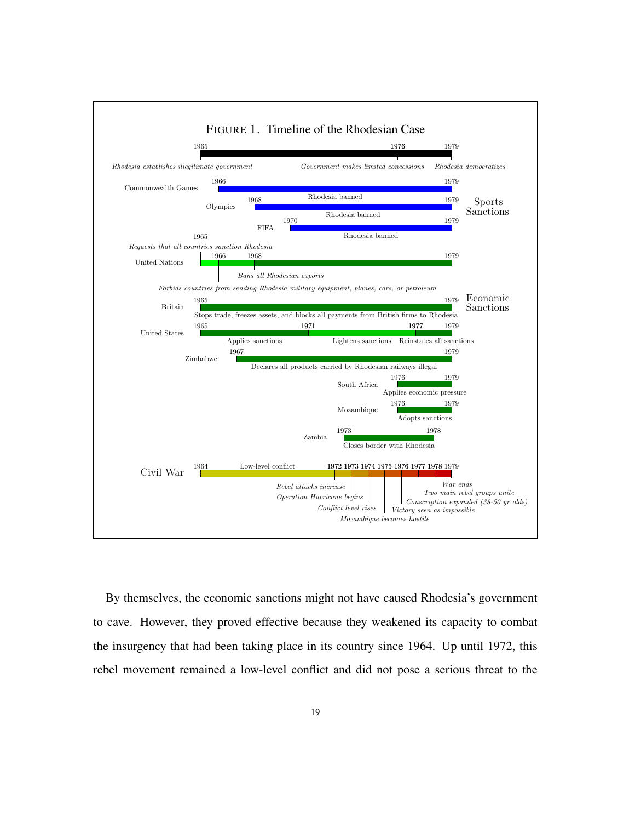

By themselves, the economic sanctions might not have caused Rhodesia's government to cave. However, they proved effective because they weakened its capacity to combat the insurgency that had been taking place in its country since 1964. Up until 1972, this rebel movement remained a low-level conflict and did not pose a serious threat to the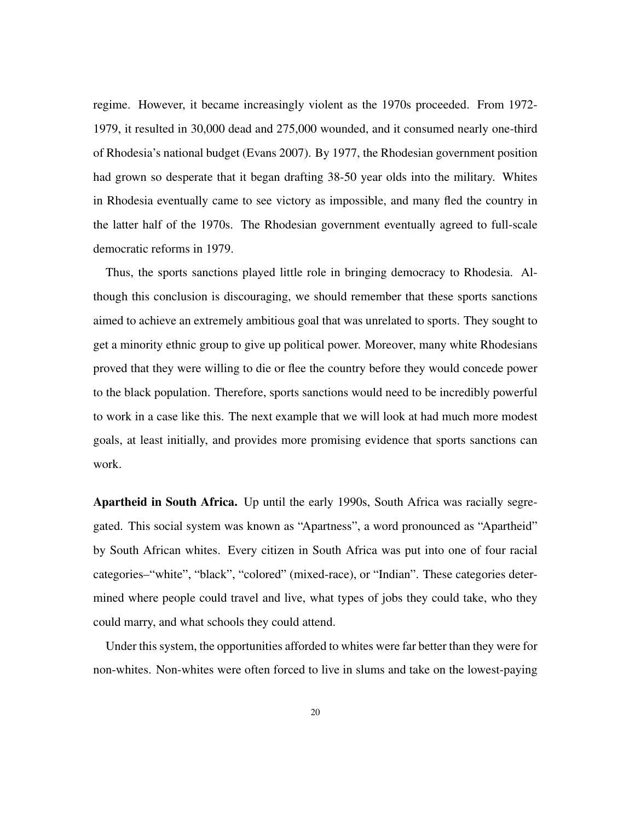regime. However, it became increasingly violent as the 1970s proceeded. From 1972- 1979, it resulted in 30,000 dead and 275,000 wounded, and it consumed nearly one-third of Rhodesia's national budget (Evans 2007). By 1977, the Rhodesian government position had grown so desperate that it began drafting 38-50 year olds into the military. Whites in Rhodesia eventually came to see victory as impossible, and many fled the country in the latter half of the 1970s. The Rhodesian government eventually agreed to full-scale democratic reforms in 1979.

Thus, the sports sanctions played little role in bringing democracy to Rhodesia. Although this conclusion is discouraging, we should remember that these sports sanctions aimed to achieve an extremely ambitious goal that was unrelated to sports. They sought to get a minority ethnic group to give up political power. Moreover, many white Rhodesians proved that they were willing to die or flee the country before they would concede power to the black population. Therefore, sports sanctions would need to be incredibly powerful to work in a case like this. The next example that we will look at had much more modest goals, at least initially, and provides more promising evidence that sports sanctions can work.

Apartheid in South Africa. Up until the early 1990s, South Africa was racially segregated. This social system was known as "Apartness", a word pronounced as "Apartheid" by South African whites. Every citizen in South Africa was put into one of four racial categories–"white", "black", "colored" (mixed-race), or "Indian". These categories determined where people could travel and live, what types of jobs they could take, who they could marry, and what schools they could attend.

Under this system, the opportunities afforded to whites were far better than they were for non-whites. Non-whites were often forced to live in slums and take on the lowest-paying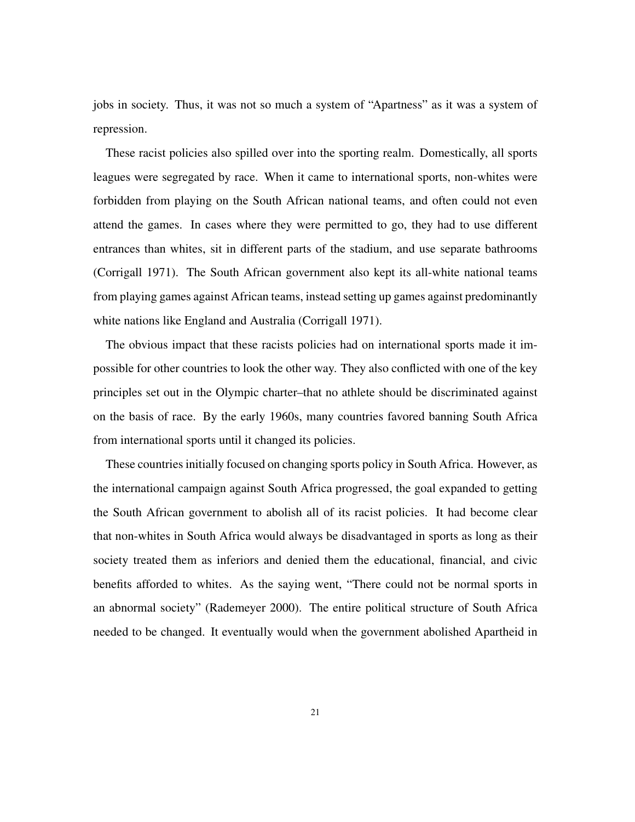jobs in society. Thus, it was not so much a system of "Apartness" as it was a system of repression.

These racist policies also spilled over into the sporting realm. Domestically, all sports leagues were segregated by race. When it came to international sports, non-whites were forbidden from playing on the South African national teams, and often could not even attend the games. In cases where they were permitted to go, they had to use different entrances than whites, sit in different parts of the stadium, and use separate bathrooms (Corrigall 1971). The South African government also kept its all-white national teams from playing games against African teams, instead setting up games against predominantly white nations like England and Australia (Corrigall 1971).

The obvious impact that these racists policies had on international sports made it impossible for other countries to look the other way. They also conflicted with one of the key principles set out in the Olympic charter–that no athlete should be discriminated against on the basis of race. By the early 1960s, many countries favored banning South Africa from international sports until it changed its policies.

These countries initially focused on changing sports policy in South Africa. However, as the international campaign against South Africa progressed, the goal expanded to getting the South African government to abolish all of its racist policies. It had become clear that non-whites in South Africa would always be disadvantaged in sports as long as their society treated them as inferiors and denied them the educational, financial, and civic benefits afforded to whites. As the saying went, "There could not be normal sports in an abnormal society" (Rademeyer 2000). The entire political structure of South Africa needed to be changed. It eventually would when the government abolished Apartheid in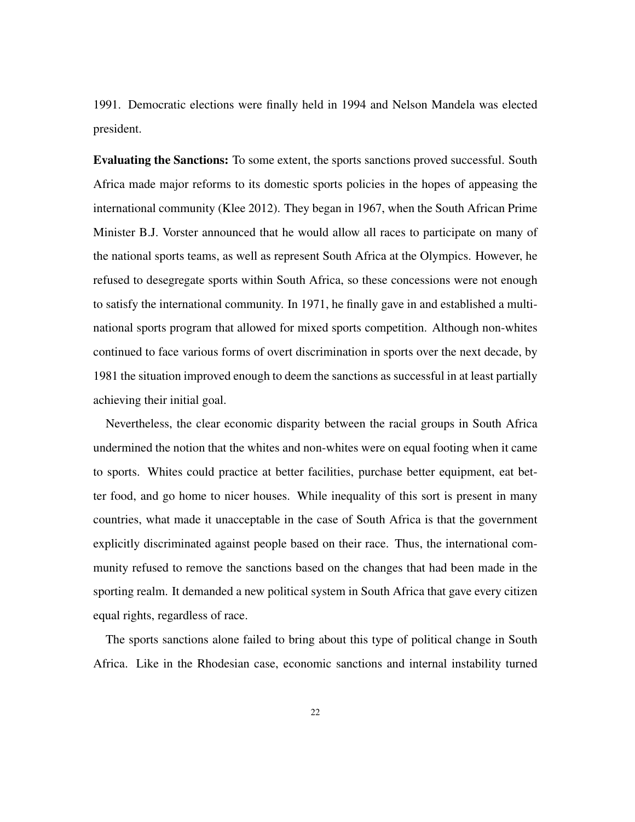1991. Democratic elections were finally held in 1994 and Nelson Mandela was elected president.

Evaluating the Sanctions: To some extent, the sports sanctions proved successful. South Africa made major reforms to its domestic sports policies in the hopes of appeasing the international community (Klee 2012). They began in 1967, when the South African Prime Minister B.J. Vorster announced that he would allow all races to participate on many of the national sports teams, as well as represent South Africa at the Olympics. However, he refused to desegregate sports within South Africa, so these concessions were not enough to satisfy the international community. In 1971, he finally gave in and established a multinational sports program that allowed for mixed sports competition. Although non-whites continued to face various forms of overt discrimination in sports over the next decade, by 1981 the situation improved enough to deem the sanctions as successful in at least partially achieving their initial goal.

Nevertheless, the clear economic disparity between the racial groups in South Africa undermined the notion that the whites and non-whites were on equal footing when it came to sports. Whites could practice at better facilities, purchase better equipment, eat better food, and go home to nicer houses. While inequality of this sort is present in many countries, what made it unacceptable in the case of South Africa is that the government explicitly discriminated against people based on their race. Thus, the international community refused to remove the sanctions based on the changes that had been made in the sporting realm. It demanded a new political system in South Africa that gave every citizen equal rights, regardless of race.

The sports sanctions alone failed to bring about this type of political change in South Africa. Like in the Rhodesian case, economic sanctions and internal instability turned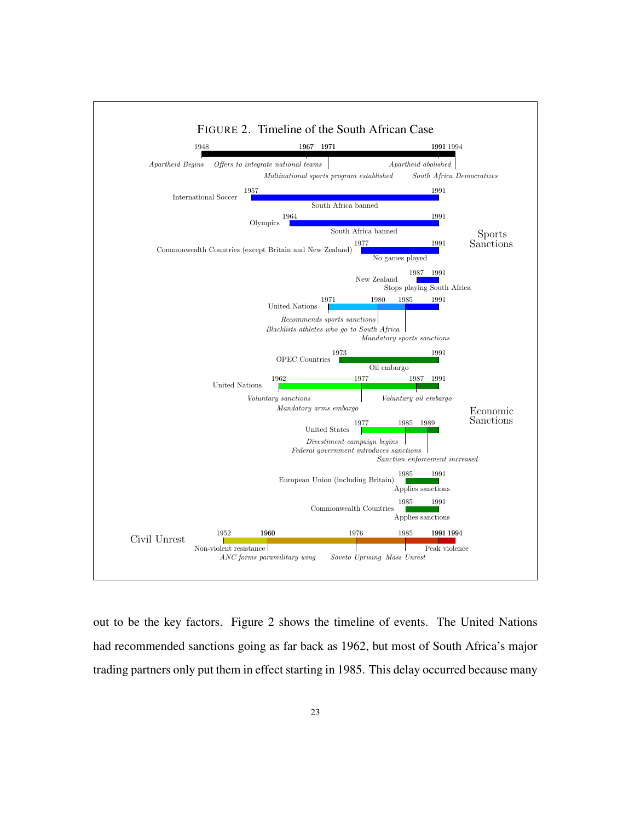

out to be the key factors. Figure 2 shows the timeline of events. The United Nations had recommended sanctions going as far back as 1962, but most of South Africa's major trading partners only put them in effect starting in 1985. This delay occurred because many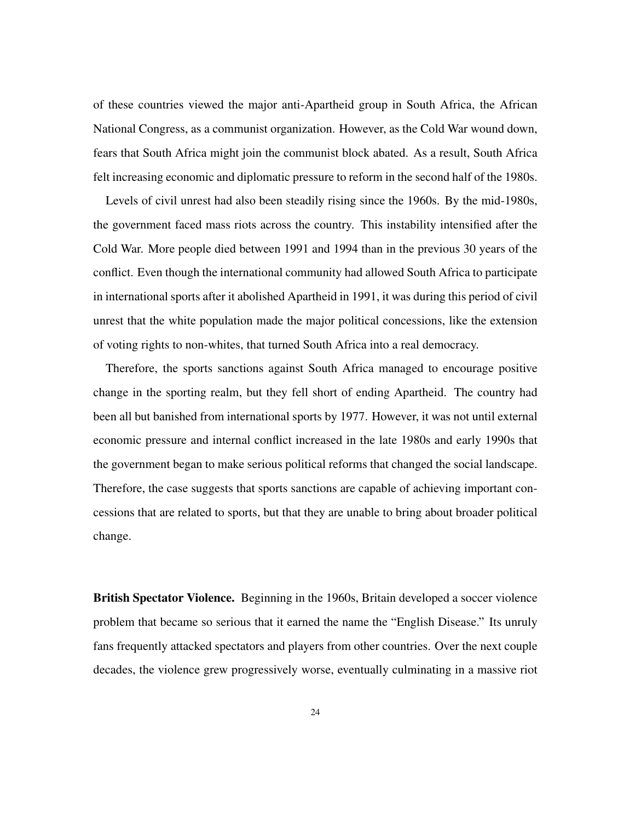of these countries viewed the major anti-Apartheid group in South Africa, the African National Congress, as a communist organization. However, as the Cold War wound down, fears that South Africa might join the communist block abated. As a result, South Africa felt increasing economic and diplomatic pressure to reform in the second half of the 1980s.

Levels of civil unrest had also been steadily rising since the 1960s. By the mid-1980s, the government faced mass riots across the country. This instability intensified after the Cold War. More people died between 1991 and 1994 than in the previous 30 years of the conflict. Even though the international community had allowed South Africa to participate in international sports after it abolished Apartheid in 1991, it was during this period of civil unrest that the white population made the major political concessions, like the extension of voting rights to non-whites, that turned South Africa into a real democracy.

Therefore, the sports sanctions against South Africa managed to encourage positive change in the sporting realm, but they fell short of ending Apartheid. The country had been all but banished from international sports by 1977. However, it was not until external economic pressure and internal conflict increased in the late 1980s and early 1990s that the government began to make serious political reforms that changed the social landscape. Therefore, the case suggests that sports sanctions are capable of achieving important concessions that are related to sports, but that they are unable to bring about broader political change.

British Spectator Violence. Beginning in the 1960s, Britain developed a soccer violence problem that became so serious that it earned the name the "English Disease." Its unruly fans frequently attacked spectators and players from other countries. Over the next couple decades, the violence grew progressively worse, eventually culminating in a massive riot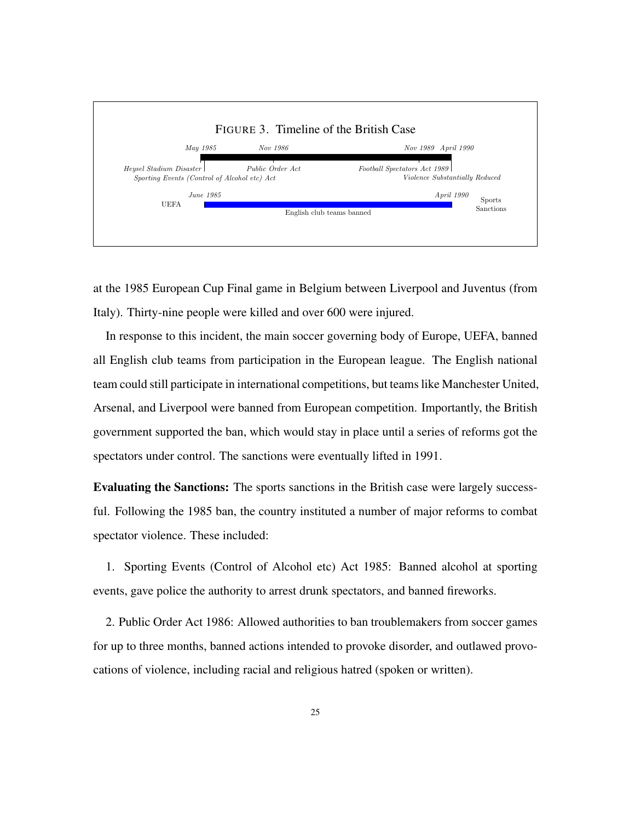

at the 1985 European Cup Final game in Belgium between Liverpool and Juventus (from Italy). Thirty-nine people were killed and over 600 were injured.

In response to this incident, the main soccer governing body of Europe, UEFA, banned all English club teams from participation in the European league. The English national team could still participate in international competitions, but teams like Manchester United, Arsenal, and Liverpool were banned from European competition. Importantly, the British government supported the ban, which would stay in place until a series of reforms got the spectators under control. The sanctions were eventually lifted in 1991.

Evaluating the Sanctions: The sports sanctions in the British case were largely successful. Following the 1985 ban, the country instituted a number of major reforms to combat spectator violence. These included:

1. Sporting Events (Control of Alcohol etc) Act 1985: Banned alcohol at sporting events, gave police the authority to arrest drunk spectators, and banned fireworks.

2. Public Order Act 1986: Allowed authorities to ban troublemakers from soccer games for up to three months, banned actions intended to provoke disorder, and outlawed provocations of violence, including racial and religious hatred (spoken or written).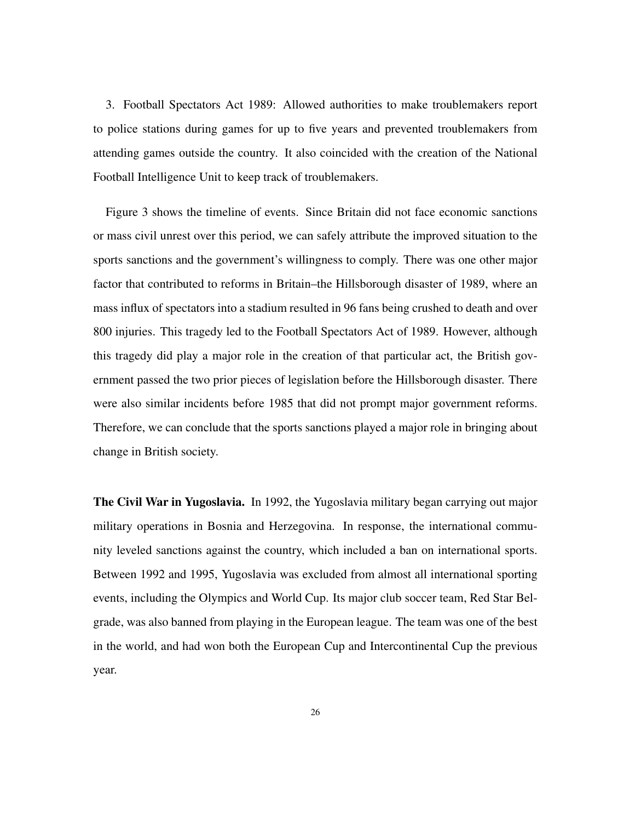3. Football Spectators Act 1989: Allowed authorities to make troublemakers report to police stations during games for up to five years and prevented troublemakers from attending games outside the country. It also coincided with the creation of the National Football Intelligence Unit to keep track of troublemakers.

Figure 3 shows the timeline of events. Since Britain did not face economic sanctions or mass civil unrest over this period, we can safely attribute the improved situation to the sports sanctions and the government's willingness to comply. There was one other major factor that contributed to reforms in Britain–the Hillsborough disaster of 1989, where an mass influx of spectators into a stadium resulted in 96 fans being crushed to death and over 800 injuries. This tragedy led to the Football Spectators Act of 1989. However, although this tragedy did play a major role in the creation of that particular act, the British government passed the two prior pieces of legislation before the Hillsborough disaster. There were also similar incidents before 1985 that did not prompt major government reforms. Therefore, we can conclude that the sports sanctions played a major role in bringing about change in British society.

The Civil War in Yugoslavia. In 1992, the Yugoslavia military began carrying out major military operations in Bosnia and Herzegovina. In response, the international community leveled sanctions against the country, which included a ban on international sports. Between 1992 and 1995, Yugoslavia was excluded from almost all international sporting events, including the Olympics and World Cup. Its major club soccer team, Red Star Belgrade, was also banned from playing in the European league. The team was one of the best in the world, and had won both the European Cup and Intercontinental Cup the previous year.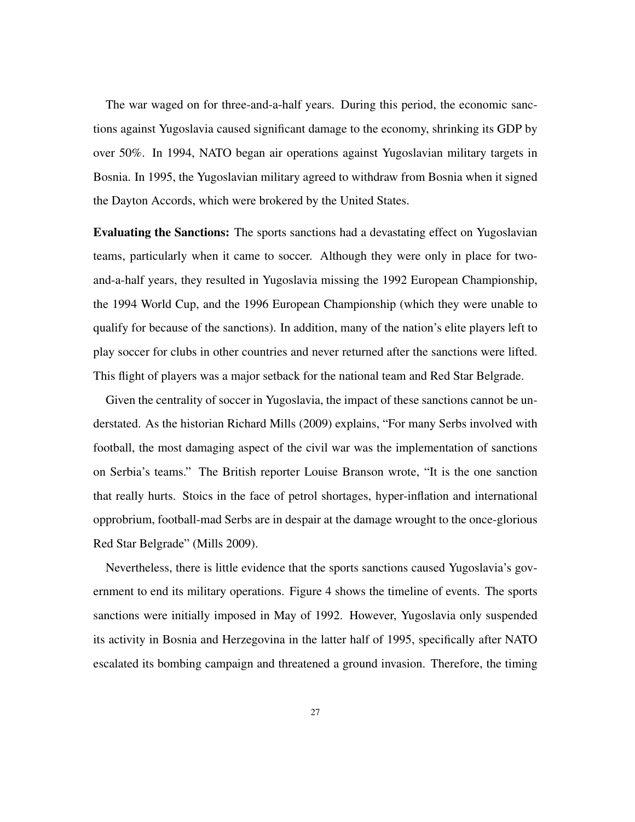The war waged on for three-and-a-half years. During this period, the economic sanctions against Yugoslavia caused significant damage to the economy, shrinking its GDP by over 50%. In 1994, NATO began air operations against Yugoslavian military targets in Bosnia. In 1995, the Yugoslavian military agreed to withdraw from Bosnia when it signed the Dayton Accords, which were brokered by the United States.

Evaluating the Sanctions: The sports sanctions had a devastating effect on Yugoslavian teams, particularly when it came to soccer. Although they were only in place for twoand-a-half years, they resulted in Yugoslavia missing the 1992 European Championship, the 1994 World Cup, and the 1996 European Championship (which they were unable to qualify for because of the sanctions). In addition, many of the nation's elite players left to play soccer for clubs in other countries and never returned after the sanctions were lifted. This flight of players was a major setback for the national team and Red Star Belgrade.

Given the centrality of soccer in Yugoslavia, the impact of these sanctions cannot be understated. As the historian Richard Mills (2009) explains, "For many Serbs involved with football, the most damaging aspect of the civil war was the implementation of sanctions on Serbia's teams." The British reporter Louise Branson wrote, "It is the one sanction that really hurts. Stoics in the face of petrol shortages, hyper-inflation and international opprobrium, football-mad Serbs are in despair at the damage wrought to the once-glorious Red Star Belgrade" (Mills 2009).

Nevertheless, there is little evidence that the sports sanctions caused Yugoslavia's government to end its military operations. Figure 4 shows the timeline of events. The sports sanctions were initially imposed in May of 1992. However, Yugoslavia only suspended its activity in Bosnia and Herzegovina in the latter half of 1995, specifically after NATO escalated its bombing campaign and threatened a ground invasion. Therefore, the timing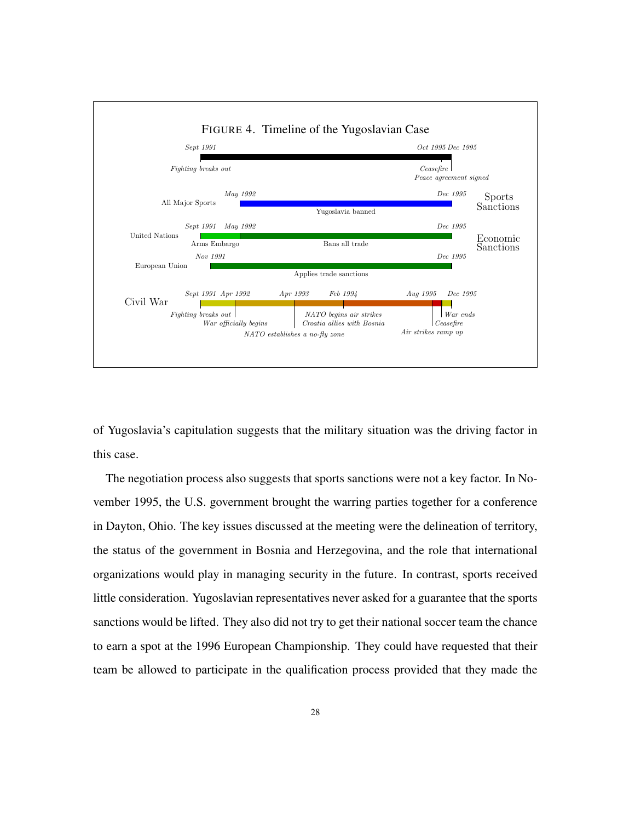

of Yugoslavia's capitulation suggests that the military situation was the driving factor in this case.

The negotiation process also suggests that sports sanctions were not a key factor. In November 1995, the U.S. government brought the warring parties together for a conference in Dayton, Ohio. The key issues discussed at the meeting were the delineation of territory, the status of the government in Bosnia and Herzegovina, and the role that international organizations would play in managing security in the future. In contrast, sports received little consideration. Yugoslavian representatives never asked for a guarantee that the sports sanctions would be lifted. They also did not try to get their national soccer team the chance to earn a spot at the 1996 European Championship. They could have requested that their team be allowed to participate in the qualification process provided that they made the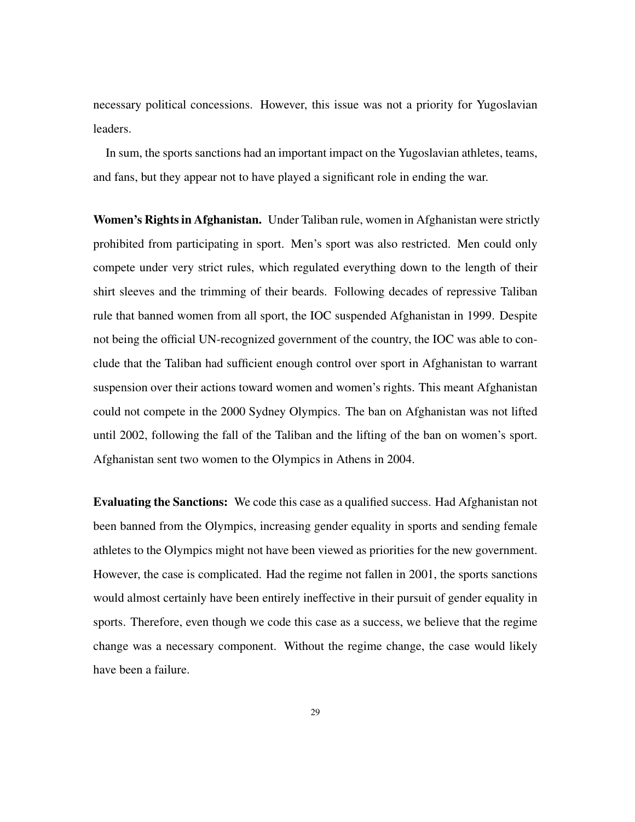necessary political concessions. However, this issue was not a priority for Yugoslavian leaders.

In sum, the sports sanctions had an important impact on the Yugoslavian athletes, teams, and fans, but they appear not to have played a significant role in ending the war.

Women's Rights in Afghanistan. Under Taliban rule, women in Afghanistan were strictly prohibited from participating in sport. Men's sport was also restricted. Men could only compete under very strict rules, which regulated everything down to the length of their shirt sleeves and the trimming of their beards. Following decades of repressive Taliban rule that banned women from all sport, the IOC suspended Afghanistan in 1999. Despite not being the official UN-recognized government of the country, the IOC was able to conclude that the Taliban had sufficient enough control over sport in Afghanistan to warrant suspension over their actions toward women and women's rights. This meant Afghanistan could not compete in the 2000 Sydney Olympics. The ban on Afghanistan was not lifted until 2002, following the fall of the Taliban and the lifting of the ban on women's sport. Afghanistan sent two women to the Olympics in Athens in 2004.

Evaluating the Sanctions: We code this case as a qualified success. Had Afghanistan not been banned from the Olympics, increasing gender equality in sports and sending female athletes to the Olympics might not have been viewed as priorities for the new government. However, the case is complicated. Had the regime not fallen in 2001, the sports sanctions would almost certainly have been entirely ineffective in their pursuit of gender equality in sports. Therefore, even though we code this case as a success, we believe that the regime change was a necessary component. Without the regime change, the case would likely have been a failure.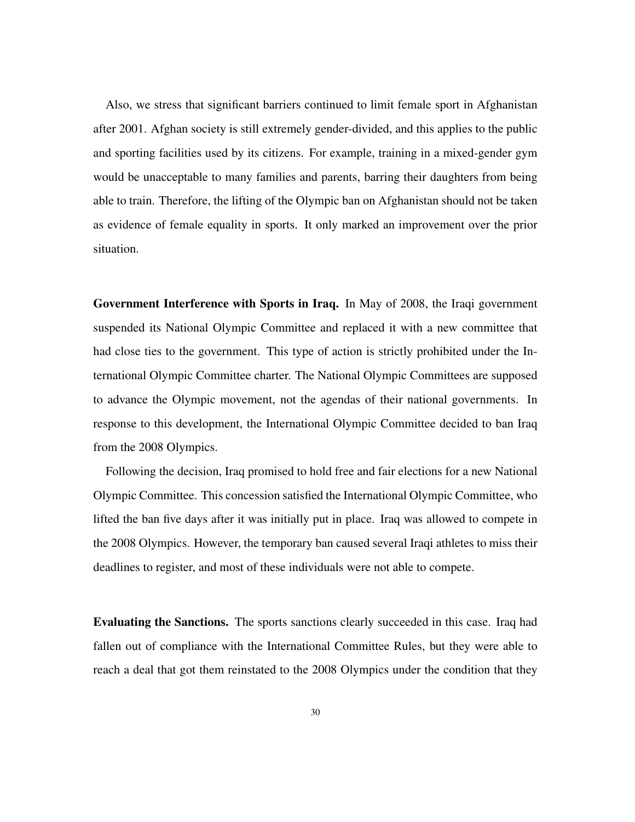Also, we stress that significant barriers continued to limit female sport in Afghanistan after 2001. Afghan society is still extremely gender-divided, and this applies to the public and sporting facilities used by its citizens. For example, training in a mixed-gender gym would be unacceptable to many families and parents, barring their daughters from being able to train. Therefore, the lifting of the Olympic ban on Afghanistan should not be taken as evidence of female equality in sports. It only marked an improvement over the prior situation.

Government Interference with Sports in Iraq. In May of 2008, the Iraqi government suspended its National Olympic Committee and replaced it with a new committee that had close ties to the government. This type of action is strictly prohibited under the International Olympic Committee charter. The National Olympic Committees are supposed to advance the Olympic movement, not the agendas of their national governments. In response to this development, the International Olympic Committee decided to ban Iraq from the 2008 Olympics.

Following the decision, Iraq promised to hold free and fair elections for a new National Olympic Committee. This concession satisfied the International Olympic Committee, who lifted the ban five days after it was initially put in place. Iraq was allowed to compete in the 2008 Olympics. However, the temporary ban caused several Iraqi athletes to miss their deadlines to register, and most of these individuals were not able to compete.

Evaluating the Sanctions. The sports sanctions clearly succeeded in this case. Iraq had fallen out of compliance with the International Committee Rules, but they were able to reach a deal that got them reinstated to the 2008 Olympics under the condition that they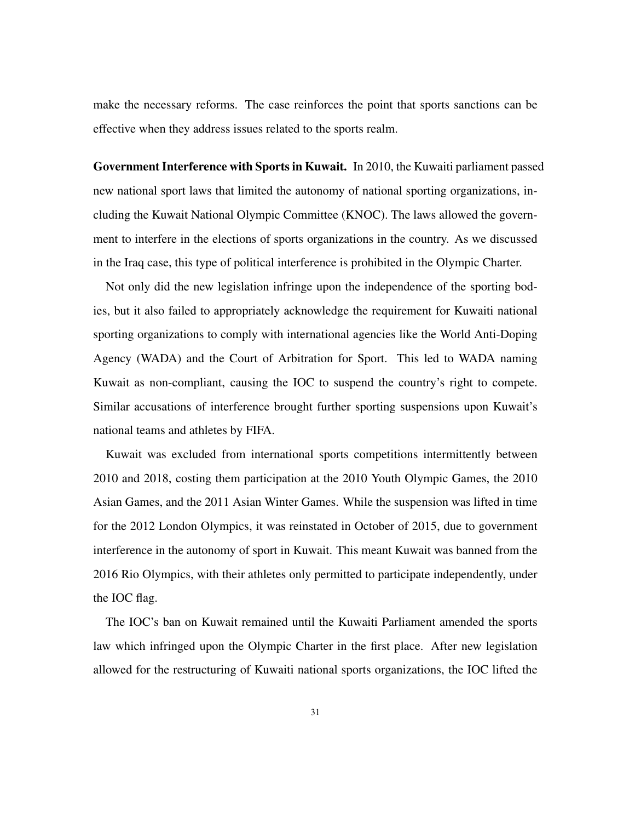make the necessary reforms. The case reinforces the point that sports sanctions can be effective when they address issues related to the sports realm.

Government Interference with Sports in Kuwait. In 2010, the Kuwaiti parliament passed new national sport laws that limited the autonomy of national sporting organizations, including the Kuwait National Olympic Committee (KNOC). The laws allowed the government to interfere in the elections of sports organizations in the country. As we discussed in the Iraq case, this type of political interference is prohibited in the Olympic Charter.

Not only did the new legislation infringe upon the independence of the sporting bodies, but it also failed to appropriately acknowledge the requirement for Kuwaiti national sporting organizations to comply with international agencies like the World Anti-Doping Agency (WADA) and the Court of Arbitration for Sport. This led to WADA naming Kuwait as non-compliant, causing the IOC to suspend the country's right to compete. Similar accusations of interference brought further sporting suspensions upon Kuwait's national teams and athletes by FIFA.

Kuwait was excluded from international sports competitions intermittently between 2010 and 2018, costing them participation at the 2010 Youth Olympic Games, the 2010 Asian Games, and the 2011 Asian Winter Games. While the suspension was lifted in time for the 2012 London Olympics, it was reinstated in October of 2015, due to government interference in the autonomy of sport in Kuwait. This meant Kuwait was banned from the 2016 Rio Olympics, with their athletes only permitted to participate independently, under the IOC flag.

The IOC's ban on Kuwait remained until the Kuwaiti Parliament amended the sports law which infringed upon the Olympic Charter in the first place. After new legislation allowed for the restructuring of Kuwaiti national sports organizations, the IOC lifted the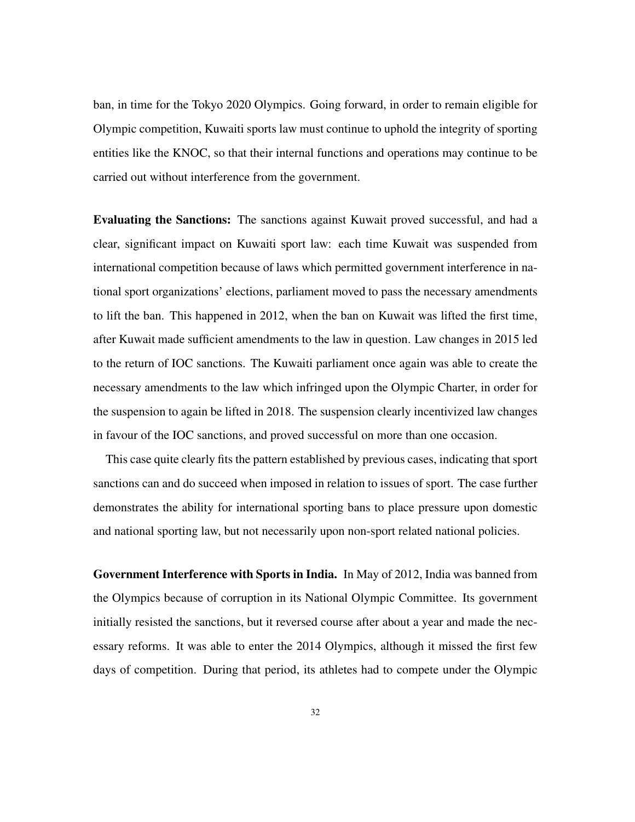ban, in time for the Tokyo 2020 Olympics. Going forward, in order to remain eligible for Olympic competition, Kuwaiti sports law must continue to uphold the integrity of sporting entities like the KNOC, so that their internal functions and operations may continue to be carried out without interference from the government.

Evaluating the Sanctions: The sanctions against Kuwait proved successful, and had a clear, significant impact on Kuwaiti sport law: each time Kuwait was suspended from international competition because of laws which permitted government interference in national sport organizations' elections, parliament moved to pass the necessary amendments to lift the ban. This happened in 2012, when the ban on Kuwait was lifted the first time, after Kuwait made sufficient amendments to the law in question. Law changes in 2015 led to the return of IOC sanctions. The Kuwaiti parliament once again was able to create the necessary amendments to the law which infringed upon the Olympic Charter, in order for the suspension to again be lifted in 2018. The suspension clearly incentivized law changes in favour of the IOC sanctions, and proved successful on more than one occasion.

This case quite clearly fits the pattern established by previous cases, indicating that sport sanctions can and do succeed when imposed in relation to issues of sport. The case further demonstrates the ability for international sporting bans to place pressure upon domestic and national sporting law, but not necessarily upon non-sport related national policies.

Government Interference with Sports in India. In May of 2012, India was banned from the Olympics because of corruption in its National Olympic Committee. Its government initially resisted the sanctions, but it reversed course after about a year and made the necessary reforms. It was able to enter the 2014 Olympics, although it missed the first few days of competition. During that period, its athletes had to compete under the Olympic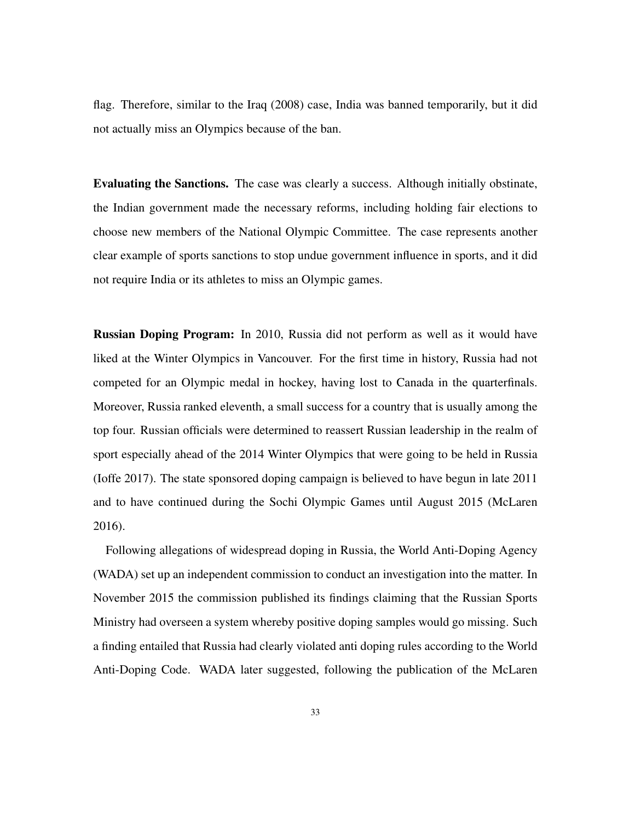flag. Therefore, similar to the Iraq (2008) case, India was banned temporarily, but it did not actually miss an Olympics because of the ban.

Evaluating the Sanctions. The case was clearly a success. Although initially obstinate, the Indian government made the necessary reforms, including holding fair elections to choose new members of the National Olympic Committee. The case represents another clear example of sports sanctions to stop undue government influence in sports, and it did not require India or its athletes to miss an Olympic games.

Russian Doping Program: In 2010, Russia did not perform as well as it would have liked at the Winter Olympics in Vancouver. For the first time in history, Russia had not competed for an Olympic medal in hockey, having lost to Canada in the quarterfinals. Moreover, Russia ranked eleventh, a small success for a country that is usually among the top four. Russian officials were determined to reassert Russian leadership in the realm of sport especially ahead of the 2014 Winter Olympics that were going to be held in Russia (Ioffe 2017). The state sponsored doping campaign is believed to have begun in late 2011 and to have continued during the Sochi Olympic Games until August 2015 (McLaren 2016).

Following allegations of widespread doping in Russia, the World Anti-Doping Agency (WADA) set up an independent commission to conduct an investigation into the matter. In November 2015 the commission published its findings claiming that the Russian Sports Ministry had overseen a system whereby positive doping samples would go missing. Such a finding entailed that Russia had clearly violated anti doping rules according to the World Anti-Doping Code. WADA later suggested, following the publication of the McLaren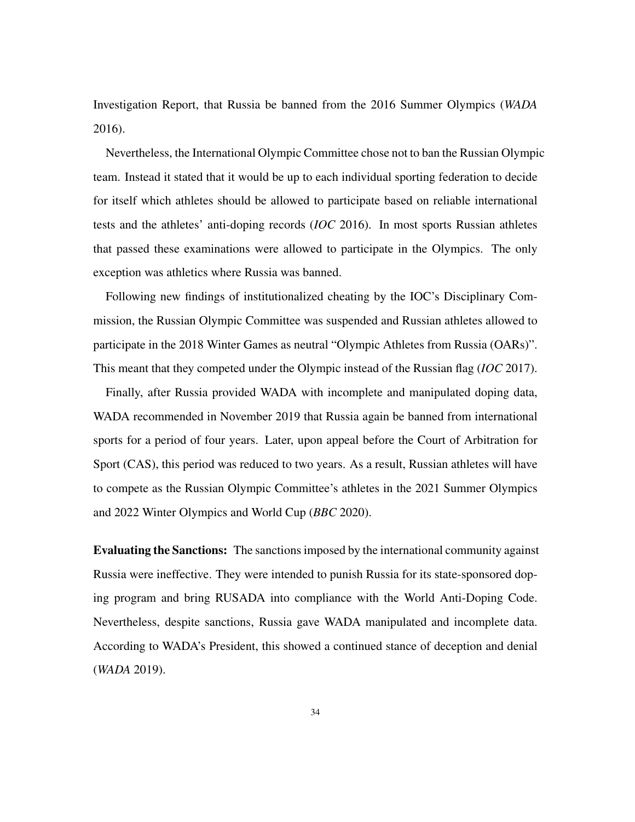Investigation Report, that Russia be banned from the 2016 Summer Olympics (*WADA* 2016).

Nevertheless, the International Olympic Committee chose not to ban the Russian Olympic team. Instead it stated that it would be up to each individual sporting federation to decide for itself which athletes should be allowed to participate based on reliable international tests and the athletes' anti-doping records (*IOC* 2016). In most sports Russian athletes that passed these examinations were allowed to participate in the Olympics. The only exception was athletics where Russia was banned.

Following new findings of institutionalized cheating by the IOC's Disciplinary Commission, the Russian Olympic Committee was suspended and Russian athletes allowed to participate in the 2018 Winter Games as neutral "Olympic Athletes from Russia (OARs)". This meant that they competed under the Olympic instead of the Russian flag (*IOC* 2017).

Finally, after Russia provided WADA with incomplete and manipulated doping data, WADA recommended in November 2019 that Russia again be banned from international sports for a period of four years. Later, upon appeal before the Court of Arbitration for Sport (CAS), this period was reduced to two years. As a result, Russian athletes will have to compete as the Russian Olympic Committee's athletes in the 2021 Summer Olympics and 2022 Winter Olympics and World Cup (*BBC* 2020).

Evaluating the Sanctions: The sanctions imposed by the international community against Russia were ineffective. They were intended to punish Russia for its state-sponsored doping program and bring RUSADA into compliance with the World Anti-Doping Code. Nevertheless, despite sanctions, Russia gave WADA manipulated and incomplete data. According to WADA's President, this showed a continued stance of deception and denial (*WADA* 2019).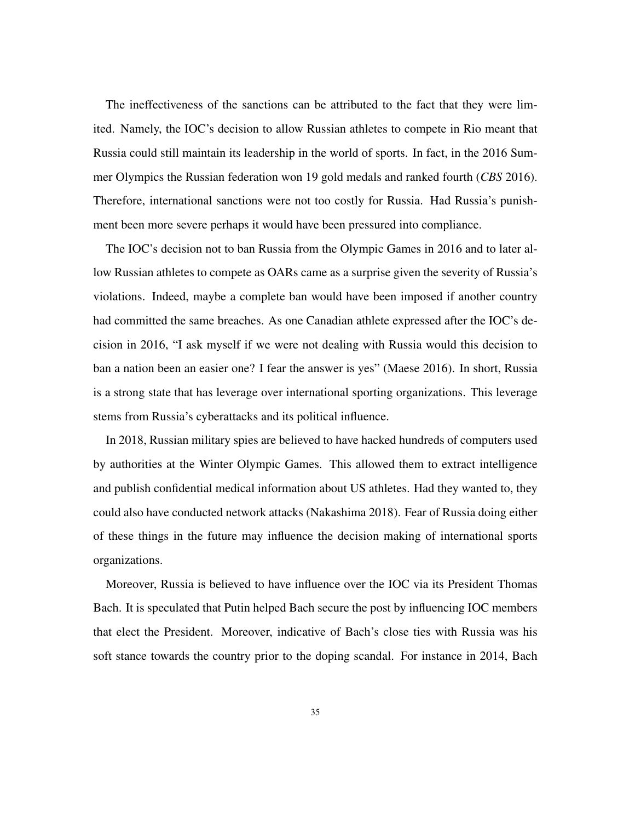The ineffectiveness of the sanctions can be attributed to the fact that they were limited. Namely, the IOC's decision to allow Russian athletes to compete in Rio meant that Russia could still maintain its leadership in the world of sports. In fact, in the 2016 Summer Olympics the Russian federation won 19 gold medals and ranked fourth (*CBS* 2016). Therefore, international sanctions were not too costly for Russia. Had Russia's punishment been more severe perhaps it would have been pressured into compliance.

The IOC's decision not to ban Russia from the Olympic Games in 2016 and to later allow Russian athletes to compete as OARs came as a surprise given the severity of Russia's violations. Indeed, maybe a complete ban would have been imposed if another country had committed the same breaches. As one Canadian athlete expressed after the IOC's decision in 2016, "I ask myself if we were not dealing with Russia would this decision to ban a nation been an easier one? I fear the answer is yes" (Maese 2016). In short, Russia is a strong state that has leverage over international sporting organizations. This leverage stems from Russia's cyberattacks and its political influence.

In 2018, Russian military spies are believed to have hacked hundreds of computers used by authorities at the Winter Olympic Games. This allowed them to extract intelligence and publish confidential medical information about US athletes. Had they wanted to, they could also have conducted network attacks (Nakashima 2018). Fear of Russia doing either of these things in the future may influence the decision making of international sports organizations.

Moreover, Russia is believed to have influence over the IOC via its President Thomas Bach. It is speculated that Putin helped Bach secure the post by influencing IOC members that elect the President. Moreover, indicative of Bach's close ties with Russia was his soft stance towards the country prior to the doping scandal. For instance in 2014, Bach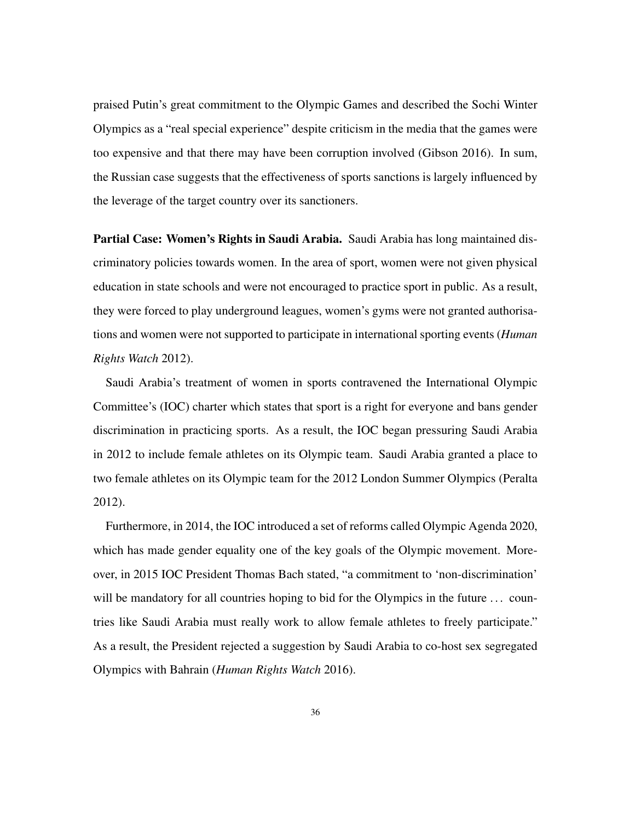praised Putin's great commitment to the Olympic Games and described the Sochi Winter Olympics as a "real special experience" despite criticism in the media that the games were too expensive and that there may have been corruption involved (Gibson 2016). In sum, the Russian case suggests that the effectiveness of sports sanctions is largely influenced by the leverage of the target country over its sanctioners.

Partial Case: Women's Rights in Saudi Arabia. Saudi Arabia has long maintained discriminatory policies towards women. In the area of sport, women were not given physical education in state schools and were not encouraged to practice sport in public. As a result, they were forced to play underground leagues, women's gyms were not granted authorisations and women were not supported to participate in international sporting events (*Human Rights Watch* 2012).

Saudi Arabia's treatment of women in sports contravened the International Olympic Committee's (IOC) charter which states that sport is a right for everyone and bans gender discrimination in practicing sports. As a result, the IOC began pressuring Saudi Arabia in 2012 to include female athletes on its Olympic team. Saudi Arabia granted a place to two female athletes on its Olympic team for the 2012 London Summer Olympics (Peralta 2012).

Furthermore, in 2014, the IOC introduced a set of reforms called Olympic Agenda 2020, which has made gender equality one of the key goals of the Olympic movement. Moreover, in 2015 IOC President Thomas Bach stated, "a commitment to 'non-discrimination' will be mandatory for all countries hoping to bid for the Olympics in the future ... countries like Saudi Arabia must really work to allow female athletes to freely participate." As a result, the President rejected a suggestion by Saudi Arabia to co-host sex segregated Olympics with Bahrain (*Human Rights Watch* 2016).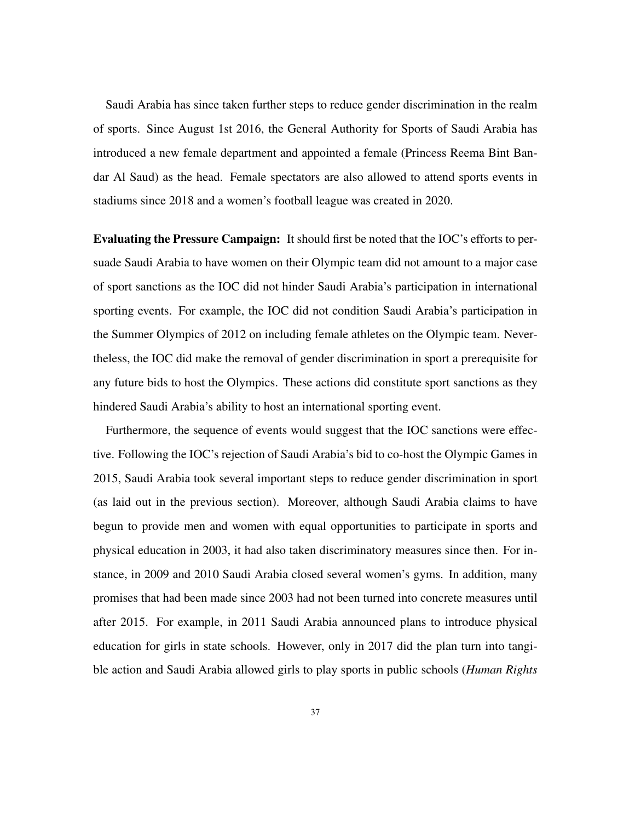Saudi Arabia has since taken further steps to reduce gender discrimination in the realm of sports. Since August 1st 2016, the General Authority for Sports of Saudi Arabia has introduced a new female department and appointed a female (Princess Reema Bint Bandar Al Saud) as the head. Female spectators are also allowed to attend sports events in stadiums since 2018 and a women's football league was created in 2020.

Evaluating the Pressure Campaign: It should first be noted that the IOC's efforts to persuade Saudi Arabia to have women on their Olympic team did not amount to a major case of sport sanctions as the IOC did not hinder Saudi Arabia's participation in international sporting events. For example, the IOC did not condition Saudi Arabia's participation in the Summer Olympics of 2012 on including female athletes on the Olympic team. Nevertheless, the IOC did make the removal of gender discrimination in sport a prerequisite for any future bids to host the Olympics. These actions did constitute sport sanctions as they hindered Saudi Arabia's ability to host an international sporting event.

Furthermore, the sequence of events would suggest that the IOC sanctions were effective. Following the IOC's rejection of Saudi Arabia's bid to co-host the Olympic Games in 2015, Saudi Arabia took several important steps to reduce gender discrimination in sport (as laid out in the previous section). Moreover, although Saudi Arabia claims to have begun to provide men and women with equal opportunities to participate in sports and physical education in 2003, it had also taken discriminatory measures since then. For instance, in 2009 and 2010 Saudi Arabia closed several women's gyms. In addition, many promises that had been made since 2003 had not been turned into concrete measures until after 2015. For example, in 2011 Saudi Arabia announced plans to introduce physical education for girls in state schools. However, only in 2017 did the plan turn into tangible action and Saudi Arabia allowed girls to play sports in public schools (*Human Rights*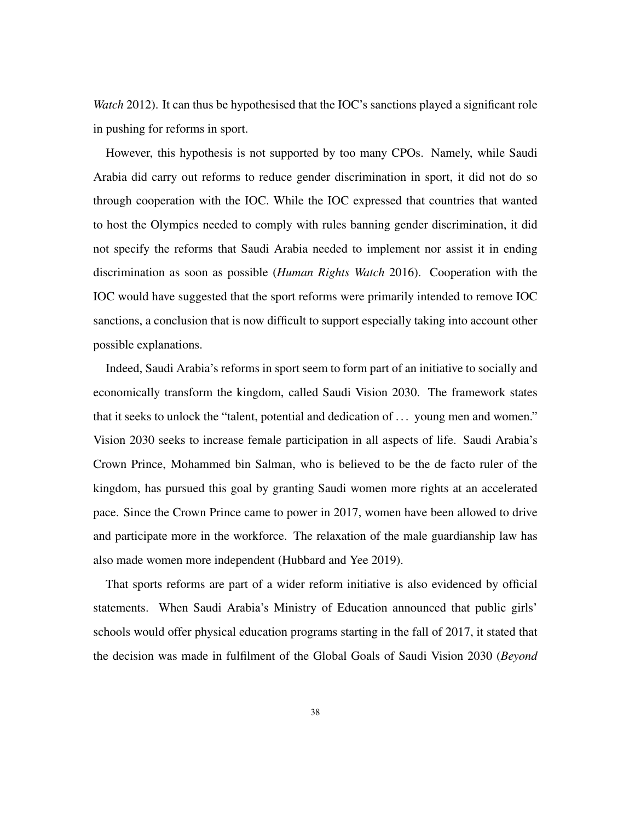*Watch* 2012). It can thus be hypothesised that the IOC's sanctions played a significant role in pushing for reforms in sport.

However, this hypothesis is not supported by too many CPOs. Namely, while Saudi Arabia did carry out reforms to reduce gender discrimination in sport, it did not do so through cooperation with the IOC. While the IOC expressed that countries that wanted to host the Olympics needed to comply with rules banning gender discrimination, it did not specify the reforms that Saudi Arabia needed to implement nor assist it in ending discrimination as soon as possible (*Human Rights Watch* 2016). Cooperation with the IOC would have suggested that the sport reforms were primarily intended to remove IOC sanctions, a conclusion that is now difficult to support especially taking into account other possible explanations.

Indeed, Saudi Arabia's reforms in sport seem to form part of an initiative to socially and economically transform the kingdom, called Saudi Vision 2030. The framework states that it seeks to unlock the "talent, potential and dedication of . . . young men and women." Vision 2030 seeks to increase female participation in all aspects of life. Saudi Arabia's Crown Prince, Mohammed bin Salman, who is believed to be the de facto ruler of the kingdom, has pursued this goal by granting Saudi women more rights at an accelerated pace. Since the Crown Prince came to power in 2017, women have been allowed to drive and participate more in the workforce. The relaxation of the male guardianship law has also made women more independent (Hubbard and Yee 2019).

That sports reforms are part of a wider reform initiative is also evidenced by official statements. When Saudi Arabia's Ministry of Education announced that public girls' schools would offer physical education programs starting in the fall of 2017, it stated that the decision was made in fulfilment of the Global Goals of Saudi Vision 2030 (*Beyond*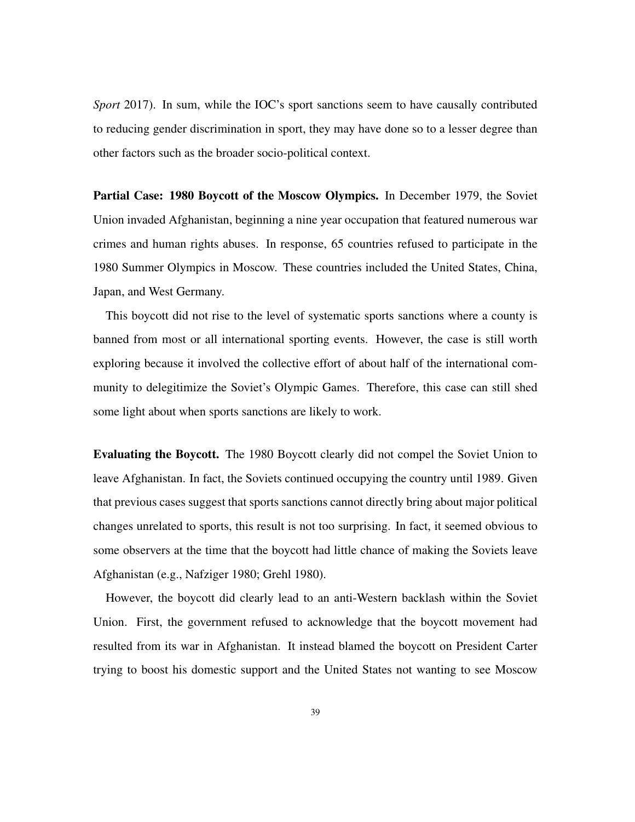*Sport* 2017). In sum, while the IOC's sport sanctions seem to have causally contributed to reducing gender discrimination in sport, they may have done so to a lesser degree than other factors such as the broader socio-political context.

Partial Case: 1980 Boycott of the Moscow Olympics. In December 1979, the Soviet Union invaded Afghanistan, beginning a nine year occupation that featured numerous war crimes and human rights abuses. In response, 65 countries refused to participate in the 1980 Summer Olympics in Moscow. These countries included the United States, China, Japan, and West Germany.

This boycott did not rise to the level of systematic sports sanctions where a county is banned from most or all international sporting events. However, the case is still worth exploring because it involved the collective effort of about half of the international community to delegitimize the Soviet's Olympic Games. Therefore, this case can still shed some light about when sports sanctions are likely to work.

Evaluating the Boycott. The 1980 Boycott clearly did not compel the Soviet Union to leave Afghanistan. In fact, the Soviets continued occupying the country until 1989. Given that previous cases suggest that sports sanctions cannot directly bring about major political changes unrelated to sports, this result is not too surprising. In fact, it seemed obvious to some observers at the time that the boycott had little chance of making the Soviets leave Afghanistan (e.g., Nafziger 1980; Grehl 1980).

However, the boycott did clearly lead to an anti-Western backlash within the Soviet Union. First, the government refused to acknowledge that the boycott movement had resulted from its war in Afghanistan. It instead blamed the boycott on President Carter trying to boost his domestic support and the United States not wanting to see Moscow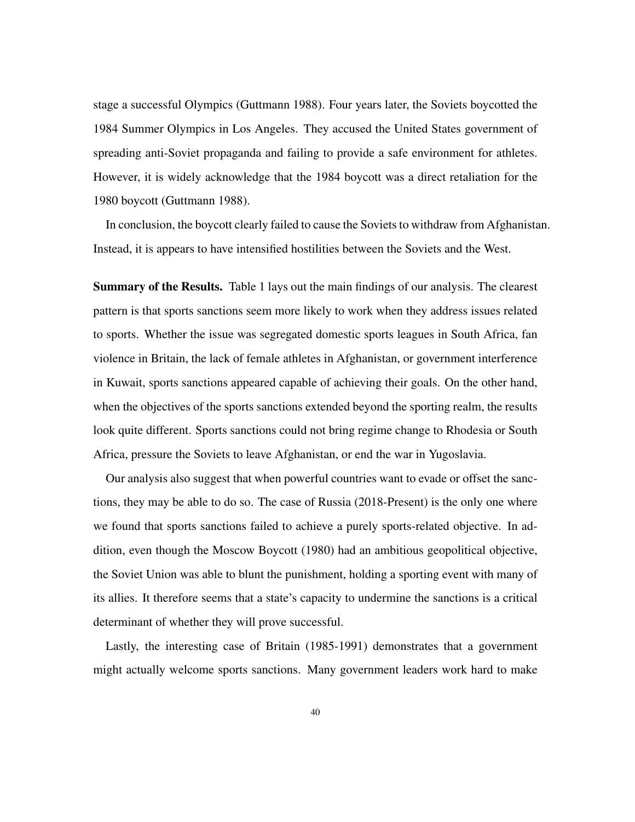stage a successful Olympics (Guttmann 1988). Four years later, the Soviets boycotted the 1984 Summer Olympics in Los Angeles. They accused the United States government of spreading anti-Soviet propaganda and failing to provide a safe environment for athletes. However, it is widely acknowledge that the 1984 boycott was a direct retaliation for the 1980 boycott (Guttmann 1988).

In conclusion, the boycott clearly failed to cause the Soviets to withdraw from Afghanistan. Instead, it is appears to have intensified hostilities between the Soviets and the West.

Summary of the Results. Table 1 lays out the main findings of our analysis. The clearest pattern is that sports sanctions seem more likely to work when they address issues related to sports. Whether the issue was segregated domestic sports leagues in South Africa, fan violence in Britain, the lack of female athletes in Afghanistan, or government interference in Kuwait, sports sanctions appeared capable of achieving their goals. On the other hand, when the objectives of the sports sanctions extended beyond the sporting realm, the results look quite different. Sports sanctions could not bring regime change to Rhodesia or South Africa, pressure the Soviets to leave Afghanistan, or end the war in Yugoslavia.

Our analysis also suggest that when powerful countries want to evade or offset the sanctions, they may be able to do so. The case of Russia (2018-Present) is the only one where we found that sports sanctions failed to achieve a purely sports-related objective. In addition, even though the Moscow Boycott (1980) had an ambitious geopolitical objective, the Soviet Union was able to blunt the punishment, holding a sporting event with many of its allies. It therefore seems that a state's capacity to undermine the sanctions is a critical determinant of whether they will prove successful.

Lastly, the interesting case of Britain (1985-1991) demonstrates that a government might actually welcome sports sanctions. Many government leaders work hard to make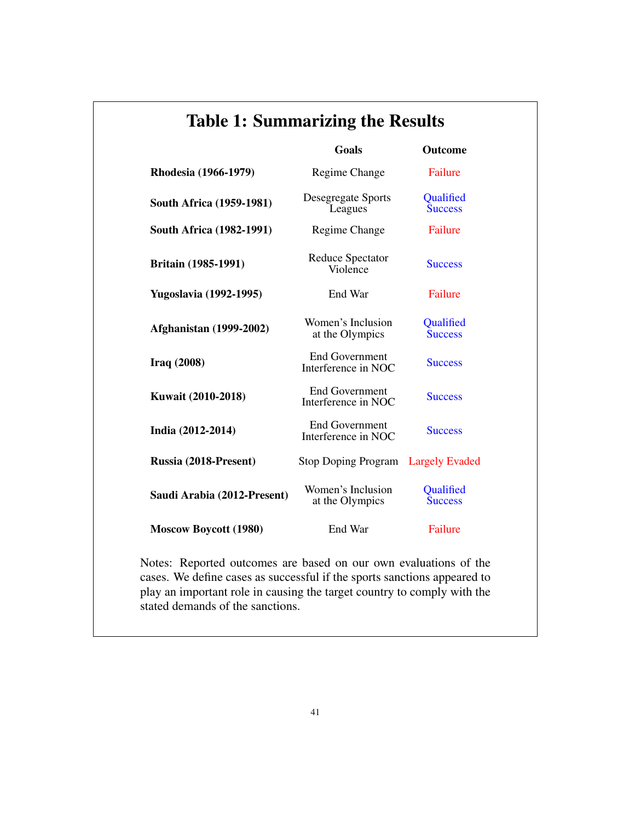| <b>Table 1: Summarizing the Results</b> |                                              |                                    |
|-----------------------------------------|----------------------------------------------|------------------------------------|
|                                         | Goals                                        | <b>Outcome</b>                     |
| Rhodesia (1966-1979)                    | Regime Change                                | Failure                            |
| South Africa (1959-1981)                | Desegregate Sports<br>Leagues                | Qualified<br><b>Success</b>        |
| South Africa (1982-1991)                | Regime Change                                | Failure                            |
| <b>Britain (1985-1991)</b>              | Reduce Spectator<br>Violence                 | <b>Success</b>                     |
| <b>Yugoslavia</b> (1992-1995)           | End War                                      | Failure                            |
| <b>Afghanistan</b> (1999-2002)          | Women's Inclusion<br>at the Olympics         | <b>Oualified</b><br><b>Success</b> |
| Iraq(2008)                              | <b>End Government</b><br>Interference in NOC | <b>Success</b>                     |
| Kuwait (2010-2018)                      | <b>End Government</b><br>Interference in NOC | <b>Success</b>                     |
| India (2012-2014)                       | <b>End Government</b><br>Interference in NOC | <b>Success</b>                     |
| Russia (2018-Present)                   | Stop Doping Program                          | <b>Largely Evaded</b>              |
| Saudi Arabia (2012-Present)             | Women's Inclusion<br>at the Olympics         | Qualified<br><b>Success</b>        |
| <b>Moscow Boycott (1980)</b>            | End War                                      | Failure                            |

Notes: Reported outcomes are based on our own evaluations of the cases. We define cases as successful if the sports sanctions appeared to play an important role in causing the target country to comply with the stated demands of the sanctions.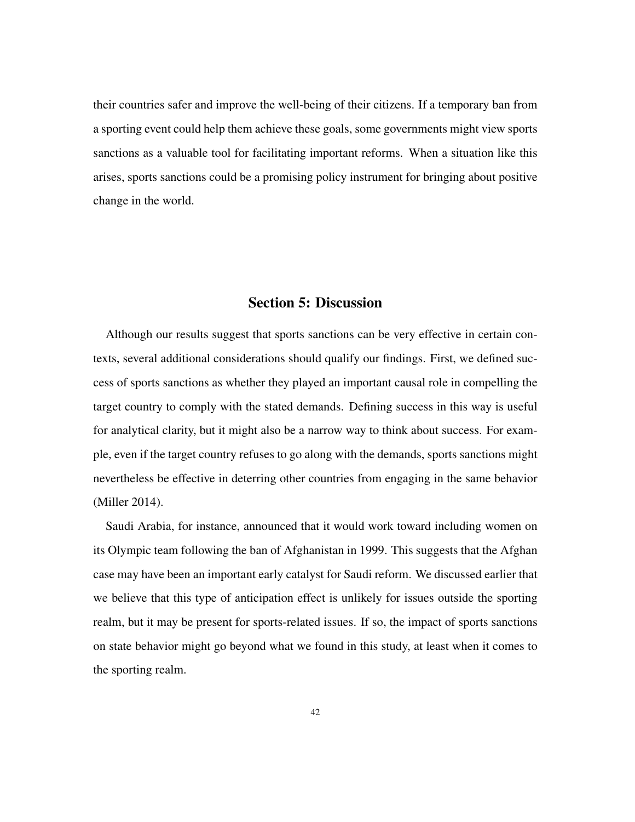their countries safer and improve the well-being of their citizens. If a temporary ban from a sporting event could help them achieve these goals, some governments might view sports sanctions as a valuable tool for facilitating important reforms. When a situation like this arises, sports sanctions could be a promising policy instrument for bringing about positive change in the world.

#### Section 5: Discussion

Although our results suggest that sports sanctions can be very effective in certain contexts, several additional considerations should qualify our findings. First, we defined success of sports sanctions as whether they played an important causal role in compelling the target country to comply with the stated demands. Defining success in this way is useful for analytical clarity, but it might also be a narrow way to think about success. For example, even if the target country refuses to go along with the demands, sports sanctions might nevertheless be effective in deterring other countries from engaging in the same behavior (Miller 2014).

Saudi Arabia, for instance, announced that it would work toward including women on its Olympic team following the ban of Afghanistan in 1999. This suggests that the Afghan case may have been an important early catalyst for Saudi reform. We discussed earlier that we believe that this type of anticipation effect is unlikely for issues outside the sporting realm, but it may be present for sports-related issues. If so, the impact of sports sanctions on state behavior might go beyond what we found in this study, at least when it comes to the sporting realm.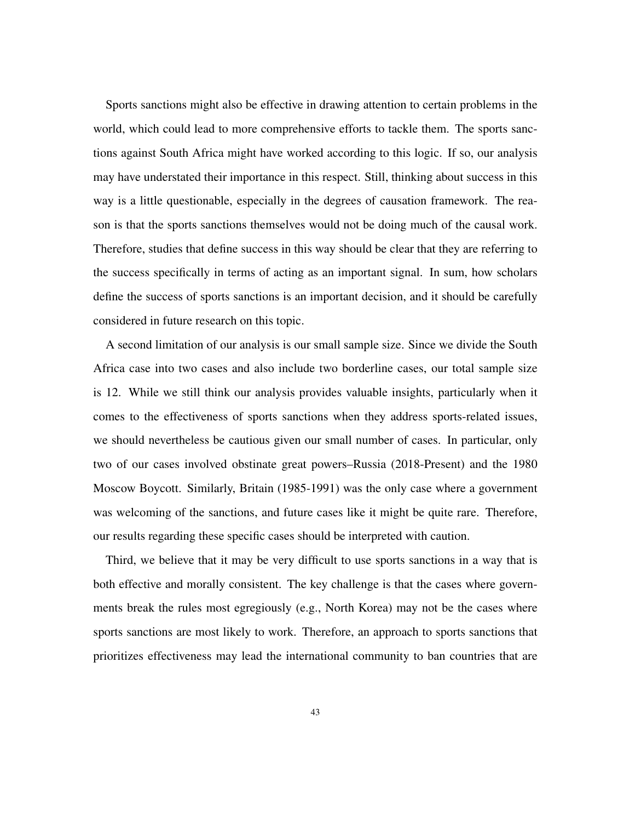Sports sanctions might also be effective in drawing attention to certain problems in the world, which could lead to more comprehensive efforts to tackle them. The sports sanctions against South Africa might have worked according to this logic. If so, our analysis may have understated their importance in this respect. Still, thinking about success in this way is a little questionable, especially in the degrees of causation framework. The reason is that the sports sanctions themselves would not be doing much of the causal work. Therefore, studies that define success in this way should be clear that they are referring to the success specifically in terms of acting as an important signal. In sum, how scholars define the success of sports sanctions is an important decision, and it should be carefully considered in future research on this topic.

A second limitation of our analysis is our small sample size. Since we divide the South Africa case into two cases and also include two borderline cases, our total sample size is 12. While we still think our analysis provides valuable insights, particularly when it comes to the effectiveness of sports sanctions when they address sports-related issues, we should nevertheless be cautious given our small number of cases. In particular, only two of our cases involved obstinate great powers–Russia (2018-Present) and the 1980 Moscow Boycott. Similarly, Britain (1985-1991) was the only case where a government was welcoming of the sanctions, and future cases like it might be quite rare. Therefore, our results regarding these specific cases should be interpreted with caution.

Third, we believe that it may be very difficult to use sports sanctions in a way that is both effective and morally consistent. The key challenge is that the cases where governments break the rules most egregiously (e.g., North Korea) may not be the cases where sports sanctions are most likely to work. Therefore, an approach to sports sanctions that prioritizes effectiveness may lead the international community to ban countries that are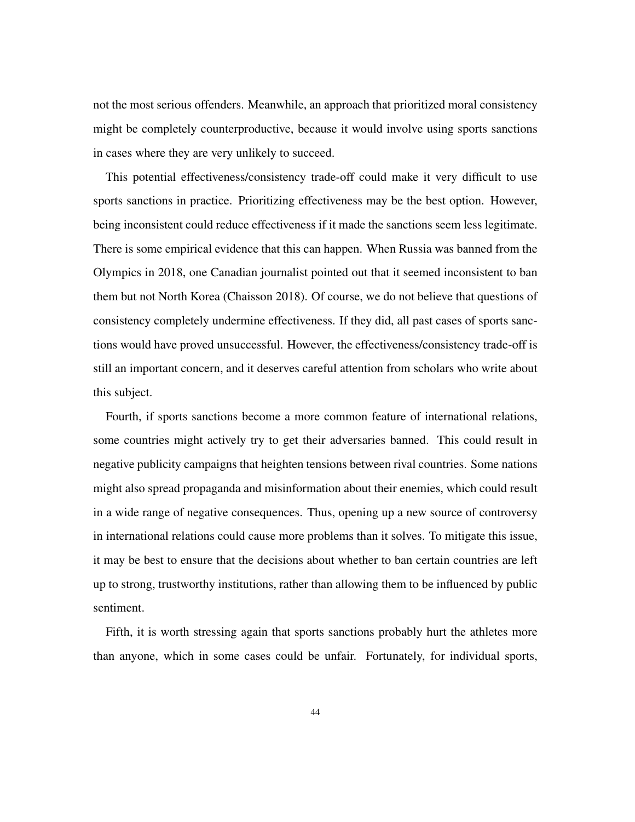not the most serious offenders. Meanwhile, an approach that prioritized moral consistency might be completely counterproductive, because it would involve using sports sanctions in cases where they are very unlikely to succeed.

This potential effectiveness/consistency trade-off could make it very difficult to use sports sanctions in practice. Prioritizing effectiveness may be the best option. However, being inconsistent could reduce effectiveness if it made the sanctions seem less legitimate. There is some empirical evidence that this can happen. When Russia was banned from the Olympics in 2018, one Canadian journalist pointed out that it seemed inconsistent to ban them but not North Korea (Chaisson 2018). Of course, we do not believe that questions of consistency completely undermine effectiveness. If they did, all past cases of sports sanctions would have proved unsuccessful. However, the effectiveness/consistency trade-off is still an important concern, and it deserves careful attention from scholars who write about this subject.

Fourth, if sports sanctions become a more common feature of international relations, some countries might actively try to get their adversaries banned. This could result in negative publicity campaigns that heighten tensions between rival countries. Some nations might also spread propaganda and misinformation about their enemies, which could result in a wide range of negative consequences. Thus, opening up a new source of controversy in international relations could cause more problems than it solves. To mitigate this issue, it may be best to ensure that the decisions about whether to ban certain countries are left up to strong, trustworthy institutions, rather than allowing them to be influenced by public sentiment.

Fifth, it is worth stressing again that sports sanctions probably hurt the athletes more than anyone, which in some cases could be unfair. Fortunately, for individual sports,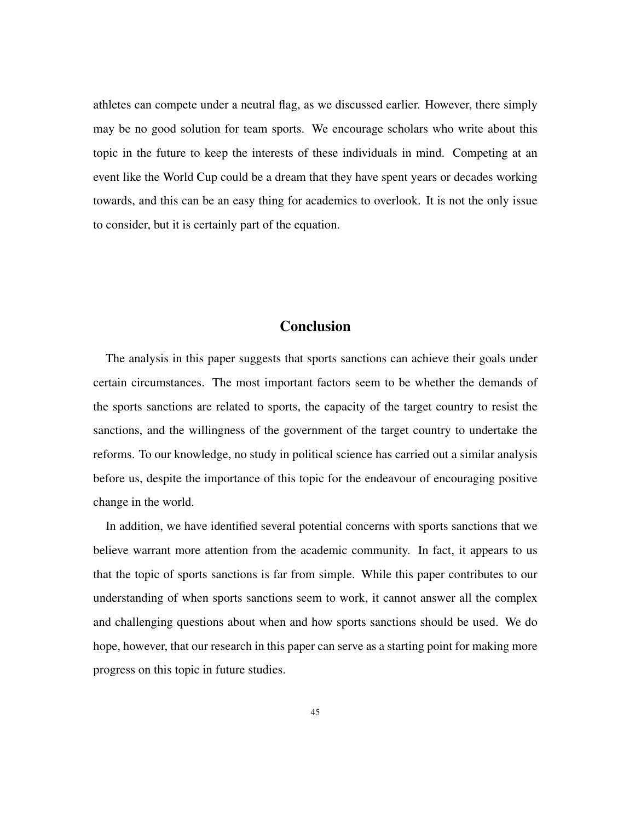athletes can compete under a neutral flag, as we discussed earlier. However, there simply may be no good solution for team sports. We encourage scholars who write about this topic in the future to keep the interests of these individuals in mind. Competing at an event like the World Cup could be a dream that they have spent years or decades working towards, and this can be an easy thing for academics to overlook. It is not the only issue to consider, but it is certainly part of the equation.

# **Conclusion**

The analysis in this paper suggests that sports sanctions can achieve their goals under certain circumstances. The most important factors seem to be whether the demands of the sports sanctions are related to sports, the capacity of the target country to resist the sanctions, and the willingness of the government of the target country to undertake the reforms. To our knowledge, no study in political science has carried out a similar analysis before us, despite the importance of this topic for the endeavour of encouraging positive change in the world.

In addition, we have identified several potential concerns with sports sanctions that we believe warrant more attention from the academic community. In fact, it appears to us that the topic of sports sanctions is far from simple. While this paper contributes to our understanding of when sports sanctions seem to work, it cannot answer all the complex and challenging questions about when and how sports sanctions should be used. We do hope, however, that our research in this paper can serve as a starting point for making more progress on this topic in future studies.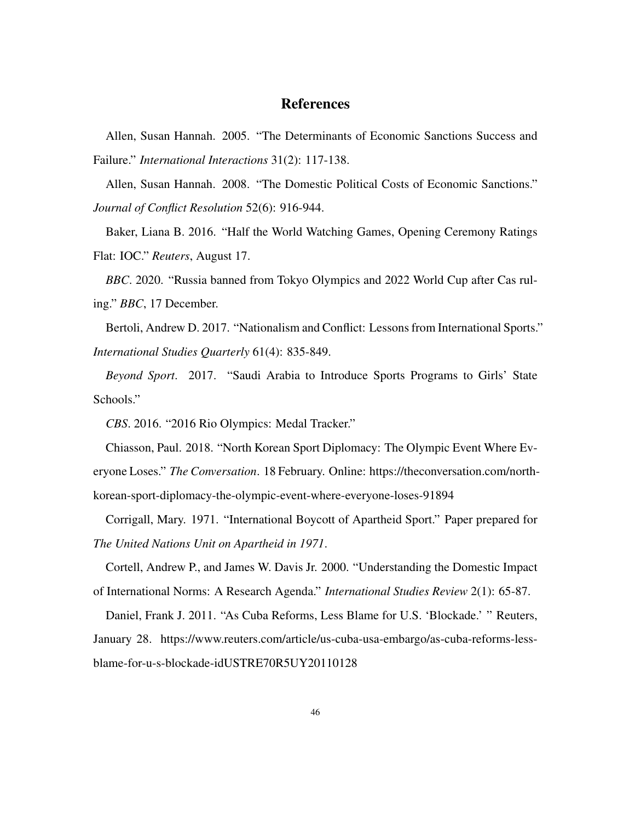## References

Allen, Susan Hannah. 2005. "The Determinants of Economic Sanctions Success and Failure." *International Interactions* 31(2): 117-138.

Allen, Susan Hannah. 2008. "The Domestic Political Costs of Economic Sanctions." *Journal of Conflict Resolution* 52(6): 916-944.

Baker, Liana B. 2016. "Half the World Watching Games, Opening Ceremony Ratings Flat: IOC." *Reuters*, August 17.

*BBC*. 2020. "Russia banned from Tokyo Olympics and 2022 World Cup after Cas ruling." *BBC*, 17 December.

Bertoli, Andrew D. 2017. "Nationalism and Conflict: Lessons from International Sports." *International Studies Quarterly* 61(4): 835-849.

*Beyond Sport*. 2017. "Saudi Arabia to Introduce Sports Programs to Girls' State Schools."

*CBS*. 2016. "2016 Rio Olympics: Medal Tracker."

Chiasson, Paul. 2018. "North Korean Sport Diplomacy: The Olympic Event Where Everyone Loses." *The Conversation*. 18 February. Online: https://theconversation.com/northkorean-sport-diplomacy-the-olympic-event-where-everyone-loses-91894

Corrigall, Mary. 1971. "International Boycott of Apartheid Sport." Paper prepared for *The United Nations Unit on Apartheid in 1971*.

Cortell, Andrew P., and James W. Davis Jr. 2000. "Understanding the Domestic Impact of International Norms: A Research Agenda." *International Studies Review* 2(1): 65-87.

Daniel, Frank J. 2011. "As Cuba Reforms, Less Blame for U.S. 'Blockade.' " Reuters, January 28. https://www.reuters.com/article/us-cuba-usa-embargo/as-cuba-reforms-lessblame-for-u-s-blockade-idUSTRE70R5UY20110128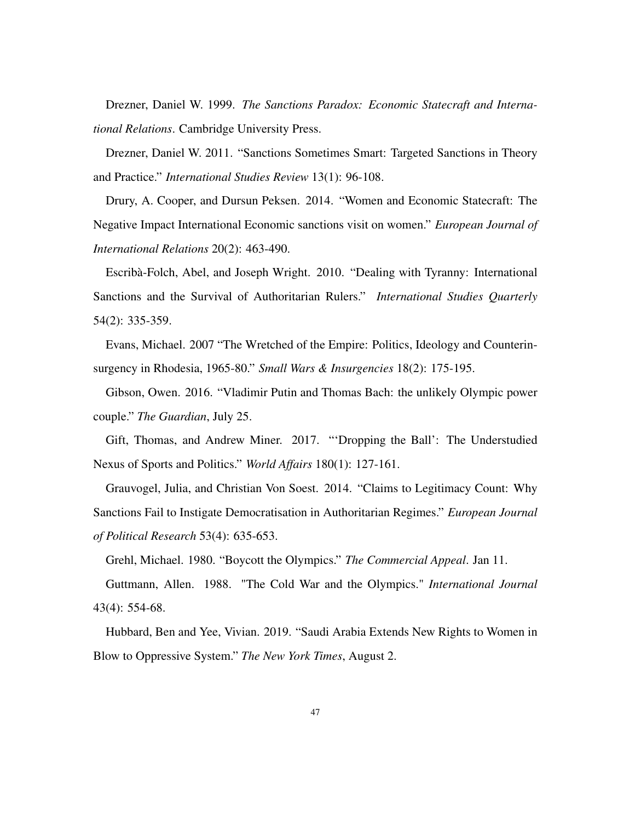Drezner, Daniel W. 1999. *The Sanctions Paradox: Economic Statecraft and International Relations*. Cambridge University Press.

Drezner, Daniel W. 2011. "Sanctions Sometimes Smart: Targeted Sanctions in Theory and Practice." *International Studies Review* 13(1): 96-108.

Drury, A. Cooper, and Dursun Peksen. 2014. "Women and Economic Statecraft: The Negative Impact International Economic sanctions visit on women." *European Journal of International Relations* 20(2): 463-490.

Escribà-Folch, Abel, and Joseph Wright. 2010. "Dealing with Tyranny: International Sanctions and the Survival of Authoritarian Rulers." *International Studies Quarterly* 54(2): 335-359.

Evans, Michael. 2007 "The Wretched of the Empire: Politics, Ideology and Counterinsurgency in Rhodesia, 1965-80." *Small Wars & Insurgencies* 18(2): 175-195.

Gibson, Owen. 2016. "Vladimir Putin and Thomas Bach: the unlikely Olympic power couple." *The Guardian*, July 25.

Gift, Thomas, and Andrew Miner. 2017. "'Dropping the Ball': The Understudied Nexus of Sports and Politics." *World Affairs* 180(1): 127-161.

Grauvogel, Julia, and Christian Von Soest. 2014. "Claims to Legitimacy Count: Why Sanctions Fail to Instigate Democratisation in Authoritarian Regimes." *European Journal of Political Research* 53(4): 635-653.

Grehl, Michael. 1980. "Boycott the Olympics." *The Commercial Appeal*. Jan 11.

Guttmann, Allen. 1988. "The Cold War and the Olympics." *International Journal* 43(4): 554-68.

Hubbard, Ben and Yee, Vivian. 2019. "Saudi Arabia Extends New Rights to Women in Blow to Oppressive System." *The New York Times*, August 2.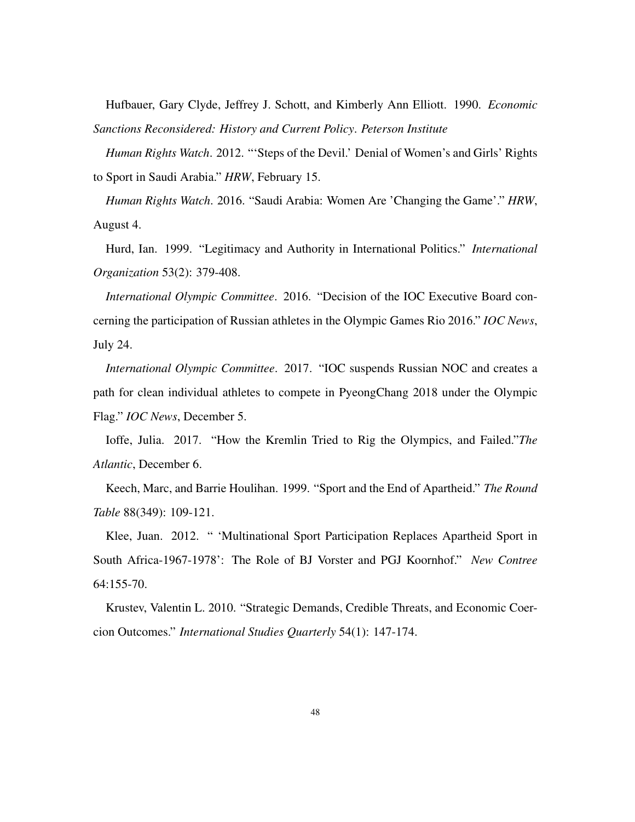Hufbauer, Gary Clyde, Jeffrey J. Schott, and Kimberly Ann Elliott. 1990. *Economic Sanctions Reconsidered: History and Current Policy*. *Peterson Institute*

*Human Rights Watch*. 2012. "'Steps of the Devil.' Denial of Women's and Girls' Rights to Sport in Saudi Arabia." *HRW*, February 15.

*Human Rights Watch*. 2016. "Saudi Arabia: Women Are 'Changing the Game'." *HRW*, August 4.

Hurd, Ian. 1999. "Legitimacy and Authority in International Politics." *International Organization* 53(2): 379-408.

*International Olympic Committee*. 2016. "Decision of the IOC Executive Board concerning the participation of Russian athletes in the Olympic Games Rio 2016." *IOC News*, July 24.

*International Olympic Committee*. 2017. "IOC suspends Russian NOC and creates a path for clean individual athletes to compete in PyeongChang 2018 under the Olympic Flag." *IOC News*, December 5.

Ioffe, Julia. 2017. "How the Kremlin Tried to Rig the Olympics, and Failed."*The Atlantic*, December 6.

Keech, Marc, and Barrie Houlihan. 1999. "Sport and the End of Apartheid." *The Round Table* 88(349): 109-121.

Klee, Juan. 2012. " 'Multinational Sport Participation Replaces Apartheid Sport in South Africa-1967-1978': The Role of BJ Vorster and PGJ Koornhof." *New Contree* 64:155-70.

Krustev, Valentin L. 2010. "Strategic Demands, Credible Threats, and Economic Coercion Outcomes." *International Studies Quarterly* 54(1): 147-174.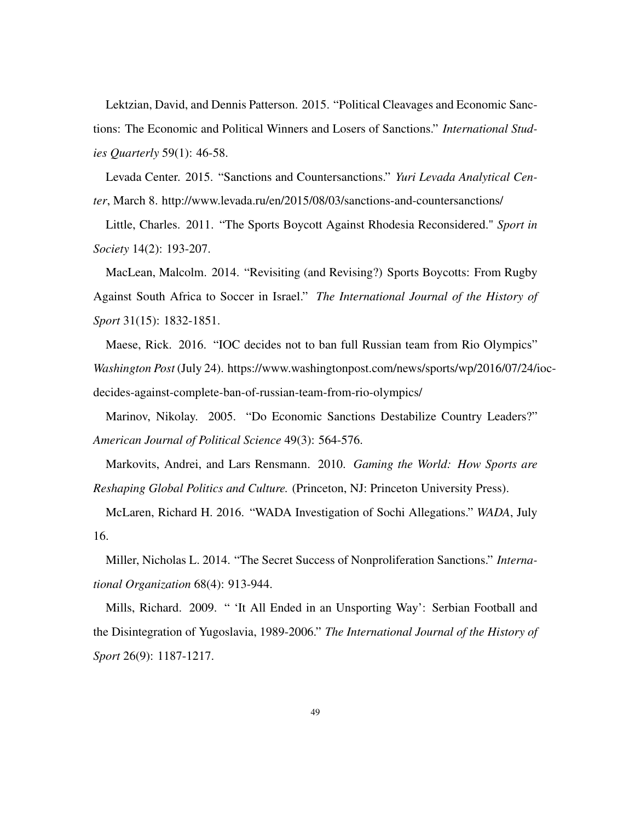Lektzian, David, and Dennis Patterson. 2015. "Political Cleavages and Economic Sanctions: The Economic and Political Winners and Losers of Sanctions." *International Studies Quarterly* 59(1): 46-58.

Levada Center. 2015. "Sanctions and Countersanctions." *Yuri Levada Analytical Center*, March 8. http://www.levada.ru/en/2015/08/03/sanctions-and-countersanctions/

Little, Charles. 2011. "The Sports Boycott Against Rhodesia Reconsidered." *Sport in Society* 14(2): 193-207.

MacLean, Malcolm. 2014. "Revisiting (and Revising?) Sports Boycotts: From Rugby Against South Africa to Soccer in Israel." *The International Journal of the History of Sport* 31(15): 1832-1851.

Maese, Rick. 2016. "IOC decides not to ban full Russian team from Rio Olympics" *Washington Post* (July 24). https://www.washingtonpost.com/news/sports/wp/2016/07/24/iocdecides-against-complete-ban-of-russian-team-from-rio-olympics/

Marinov, Nikolay. 2005. "Do Economic Sanctions Destabilize Country Leaders?" *American Journal of Political Science* 49(3): 564-576.

Markovits, Andrei, and Lars Rensmann. 2010. *Gaming the World: How Sports are Reshaping Global Politics and Culture.* (Princeton, NJ: Princeton University Press).

McLaren, Richard H. 2016. "WADA Investigation of Sochi Allegations." *WADA*, July 16.

Miller, Nicholas L. 2014. "The Secret Success of Nonproliferation Sanctions." *International Organization* 68(4): 913-944.

Mills, Richard. 2009. " 'It All Ended in an Unsporting Way': Serbian Football and the Disintegration of Yugoslavia, 1989-2006." *The International Journal of the History of Sport* 26(9): 1187-1217.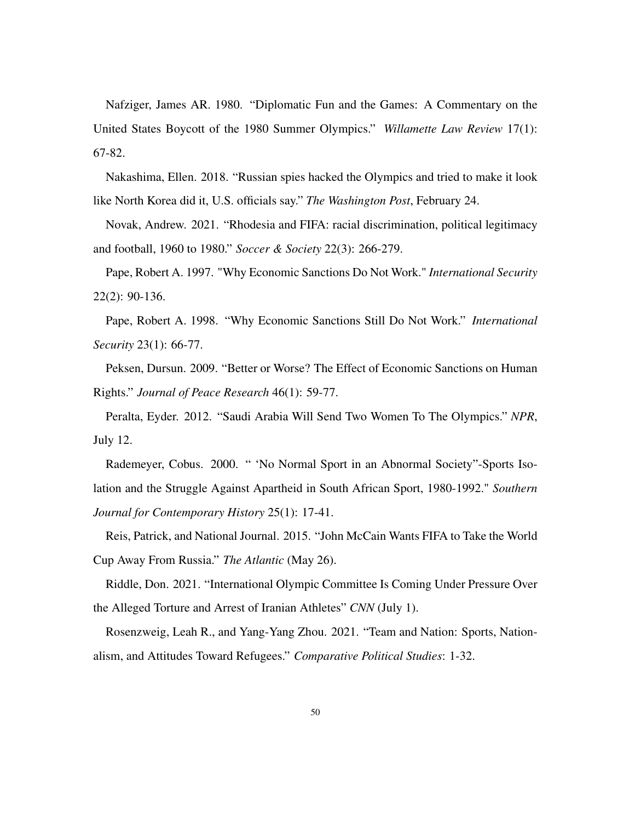Nafziger, James AR. 1980. "Diplomatic Fun and the Games: A Commentary on the United States Boycott of the 1980 Summer Olympics." *Willamette Law Review* 17(1): 67-82.

Nakashima, Ellen. 2018. "Russian spies hacked the Olympics and tried to make it look like North Korea did it, U.S. officials say." *The Washington Post*, February 24.

Novak, Andrew. 2021. "Rhodesia and FIFA: racial discrimination, political legitimacy and football, 1960 to 1980." *Soccer & Society* 22(3): 266-279.

Pape, Robert A. 1997. "Why Economic Sanctions Do Not Work." *International Security* 22(2): 90-136.

Pape, Robert A. 1998. "Why Economic Sanctions Still Do Not Work." *International Security* 23(1): 66-77.

Peksen, Dursun. 2009. "Better or Worse? The Effect of Economic Sanctions on Human Rights." *Journal of Peace Research* 46(1): 59-77.

Peralta, Eyder. 2012. "Saudi Arabia Will Send Two Women To The Olympics." *NPR*, July 12.

Rademeyer, Cobus. 2000. " 'No Normal Sport in an Abnormal Society"-Sports Isolation and the Struggle Against Apartheid in South African Sport, 1980-1992." *Southern Journal for Contemporary History* 25(1): 17-41.

Reis, Patrick, and National Journal. 2015. "John McCain Wants FIFA to Take the World Cup Away From Russia." *The Atlantic* (May 26).

Riddle, Don. 2021. "International Olympic Committee Is Coming Under Pressure Over the Alleged Torture and Arrest of Iranian Athletes" *CNN* (July 1).

Rosenzweig, Leah R., and Yang-Yang Zhou. 2021. "Team and Nation: Sports, Nationalism, and Attitudes Toward Refugees." *Comparative Political Studies*: 1-32.